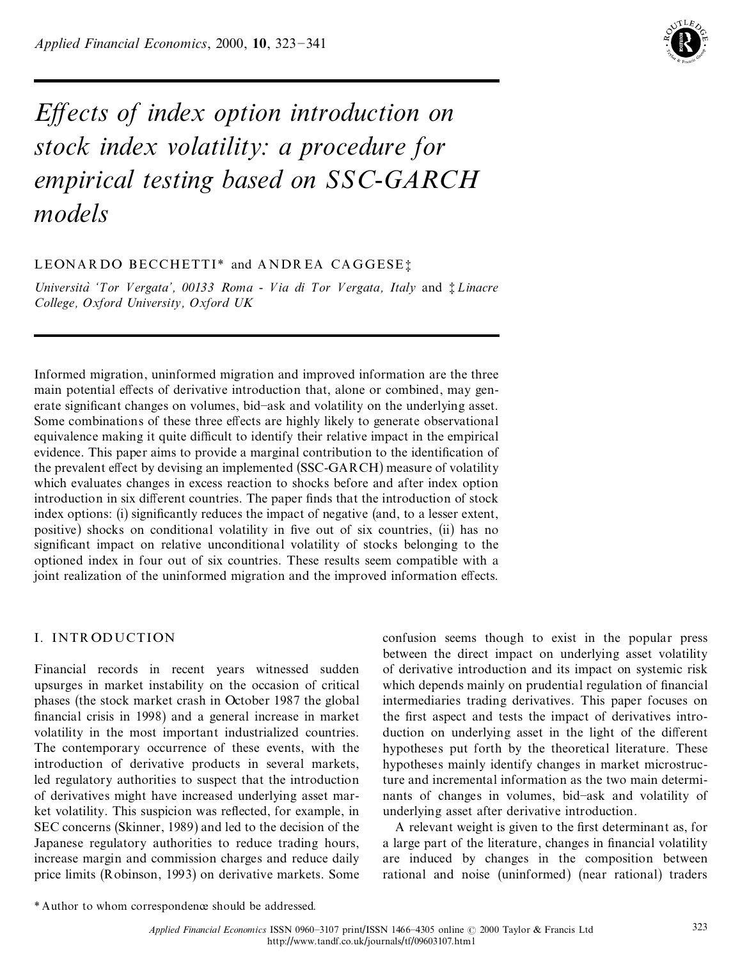

# *E ects of index option introduction on stock index volatility: a procedure for empirical testing based on SSC-GARCH models*

# LEONARDO BECCHETTI\* and ANDREA CAGGESE;

*UniversitaÁ `Tor V ergata', 00133 Roma - V ia di Tor V ergata, Italy* and { *L inacre College, Oxford University, Oxford UK*

Informed migration, uninformed migration and improved information are the three main potential effects of derivative introduction that, alone or combined, may generate significant changes on volumes, bid-ask and volatility on the underlying asset. Some combinations of these three effects are highly likely to generate observational equivalence making it quite difficult to identify their relative impact in the empirical evidence. This paper aims to provide a marginal contribution to the identification of the prevalent effect by devising an implemented (SSC-GARCH) measure of volatility which evaluates changes in excess reaction to shocks before and after index option introduction in six different countries. The paper finds that the introduction of stock index options: (i) significantly reduces the impact of negative (and, to a lesser extent, positive) shocks on conditional volatility in five out of six countries, (ii) has no significant impact on relative unconditional volatility of stocks belonging to the optioned index in four out of six countries. These results seem compatible with a joint realization of the uninformed migration and the improved information effects.

# I. INTR ODUCTION

Financial records in recent years witnessed sudden upsurges in market instability on the occasion of critical phases (the stock market crash in October 1987 the global financial crisis in 1998) and a general increase in market volatility in the most important industrialized countries. The contemporary occurrence of these events, with the introduction of derivative products in several markets, led regulatory authorities to suspect that the introduction of derivatives might have increased underlying asset mar ket volatility. This suspicion was reflected, for example, in SEC concerns (Skinner, 1989) and led to the decision of the Japanese regulatory authorities to reduce trading hours, increase margin and commission charges and reduce daily price limits (Robinson, 1993) on derivative markets. Some confusion seems though to exist in the popular press between the direct impact on underlying asset volatility of derivative introduction and its impact on systemic risk which depends mainly on prudential regulation of financial intermediaries trading derivatives. This paper focuses on the first aspect and tests the impact of derivatives introduction on underlying asset in the light of the different hypotheses put forth by the theoretical literature. These hypotheses mainly identify changes in market microstructure and incremental information as the two main determi nants of changes in volumes, bid-ask and volatility of underlying asset after derivative introduction.

A relevant weight is given to the first determinant as, for a large part of the literature, changes in financial volatility are induced by changes in the composition between rational and noise (uninformed) (near rational) traders

<sup>\*</sup> Author to whom correspondence should be addressed.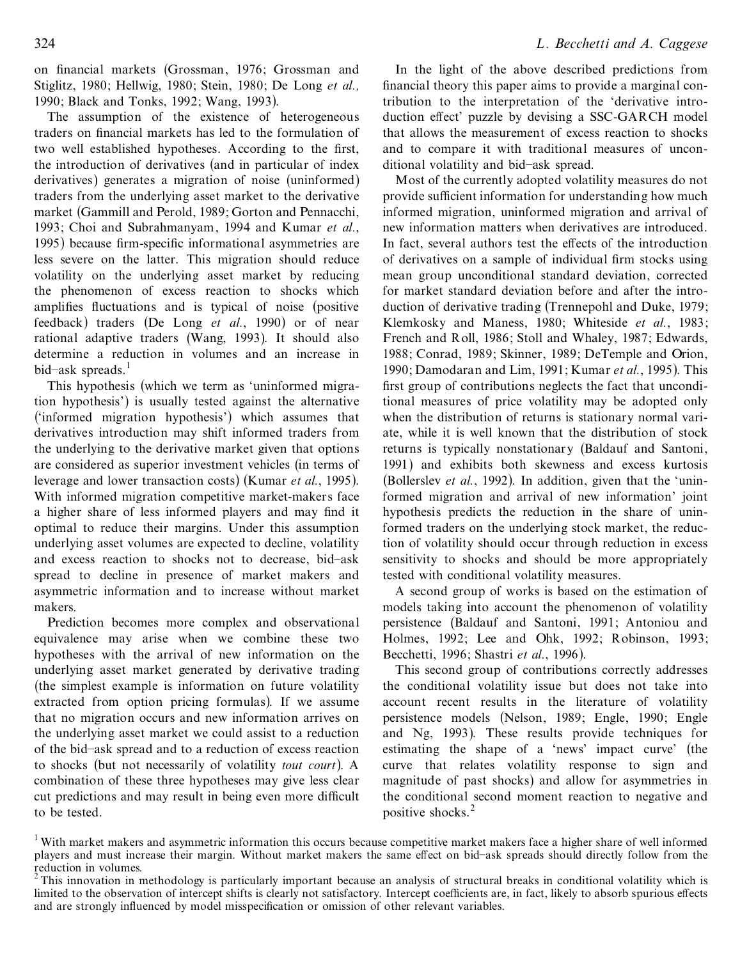on financial markets (Grossman, 1976; Grossman and Stiglitz, 1980; Hellwig, 1980; Stein, 1980; De Long *et al.,* 1990; Black and Tonks, 1992; Wang, 1993).

The assumption of the existence of heterogeneous traders on financial markets has led to the formulation of two well established hypotheses. According to the first, the introduction of derivatives (and in particular of index derivatives) generates a migration of noise (uninformed) traders from the underlying asset market to the derivative market (Gammill and Perold, 1989; Gorton and Pennacchi, 1993; Choi and Subrahmanyam , 1994 and Kumar *et al.*, 1995) because firm-specific informational asymmetries are less severe on the latter. This migration should reduce volatility on the underlying asset market by reducing the phenomenon of excess reaction to shocks which amplifies fluctuations and is typical of noise (positive feedback) traders (De Long *et al.*, 1990) or of near rational adaptive traders (Wang, 1993). It should also determine a reduction in volumes and an increase in bid-ask spreads.<sup>1</sup>

This hypothesis (which we term as 'uninformed migration hypothesis') is usually tested against the alternative (`informed migration hypothesis') which assumes that derivatives introduction may shift informed traders from the underlying to the derivative market given that options are considered as superior investment vehicles (in terms of leverage and lower transaction costs) (Kumar *et al.*, 1995). With informed migration competitive market-makers face a higher share of less informed players and may find it optimal to reduce their margins. Under this assumption underlying asset volumes are expected to decline, volatility and excess reaction to shocks not to decrease, bid-ask spread to decline in presence of market makers and asymmetric information and to increase without market makers.

Prediction becomes more complex and observational equivalence may arise when we combine these two hypotheses with the arrival of new information on the underlying asset market generated by derivative trading (the simplest example is information on future volatility extracted from option pricing formulas). If we assume that no migration occurs and new information arrives on the underlying asset market we could assist to a reduction of the bid±ask spread and to a reduction of excess reaction to shocks (but not necessarily of volatility *tout court*). A combination of these three hypotheses may give less clear cut predictions and may result in being even more difficult to be tested.

In the light of the above described predictions from financial theory this paper aims to provide a marginal contribution to the interpretation of the `derivative intro duction effect' puzzle by devising a SSC-GARCH model that allows the measurement of excess reaction to shocks and to compare it with traditional measures of uncon ditional volatility and bid-ask spread.

Most of the currently adopted volatility measures do not provide sufficient information for understanding how much informed migration, uninformed migration and arrival of new information matters when derivatives are introduced. In fact, several authors test the effects of the introduction of derivatives on a sample of individual firm stocks using mean group unconditional standard deviation, corrected for market standard deviation before and after the intro duction of derivative trading (Trennepohl and Duke, 1979; Klemkosky and Maness, 1980; Whiteside *et al.*, 1983; French and Roll, 1986; Stoll and Whaley, 1987; Edwards, 1988; Conrad, 1989; Skinner, 1989; DeTemple and Orion, 1990; Damodaran and Lim, 1991; Kumar *et al.*, 1995). This first group of contributions neglects the fact that unconditional measures of price volatility may be adopted only when the distribution of returns is stationary normal vari ate, while it is well known that the distribution of stock returns is typically nonstationary (Baldauf and Santoni, 1991) and exhibits both skewness and excess kurtosis (Bollerslev *et al.*, 1992). In addition, given that the `uninformed migration and arrival of new information' joint hypothesis predicts the reduction in the share of uninformed traders on the underlying stock market, the reduction of volatility should occur through reduction in excess sensitivity to shocks and should be more appropriately tested with conditional volatility measures.

A second group of works is based on the estimation of models taking into account the phenomenon of volatility persistence (Baldauf and Santoni, 1991; Antoniou and Holmes, 1992; Lee and Ohk, 1992; Robinson, 1993; Becchetti, 1996; Shastri *et al.*, 1996).

This second group of contributions correctly addresses the conditional volatility issue but does not take into account recent results in the literature of volatility persistence models (Nelson, 1989; Engle, 1990; Engle and Ng, 1993). These results provide techniques for estimating the shape of a `news' impact curve' (the curve that relates volatility response to sign and magnitude of past shocks) and allow for asymmetries in the conditional second moment reaction to negative and positive shocks.<sup>2</sup>

<sup>&</sup>lt;sup>1</sup> With market makers and asymmetric information this occurs because competitive market makers face a higher share of well informed players and must increase their margin. Without market makers the same effect on bid-ask spreads should directly follow from the reduction in volumes.<br><sup>2</sup> This innovation in mathedalam is need to the decident

This innovation in methodology is particularly important because an analysis of structural breaks in conditional volatility which is limited to the observation of intercept shifts is clearly not satisfactory. Intercept coefficients are, in fact, likely to absorb spurious effects and are strongly influenced by model misspecification or omission of other relevant variables.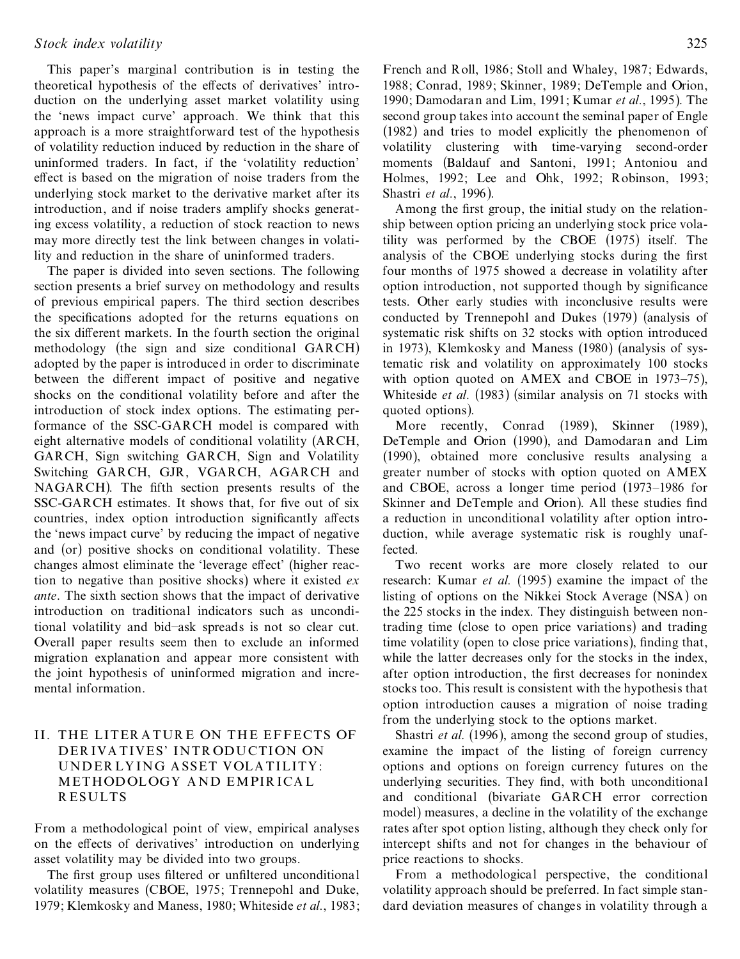This paper's marginal contribution is in testing the theoretical hypothesis of the effects of derivatives' introduction on the underlying asset market volatility using the `news impact curve' approach. We think that this approach is a more straightforward test of the hypothesis of volatility reduction induced by reduction in the share of uninformed traders. In fact, if the `volatility reduction' effect is based on the migration of noise traders from the underlying stock market to the derivative market after its introduction, and if noise traders amplify shocks generating excess volatility, a reduction of stock reaction to news may more directly test the link between changes in volatility and reduction in the share of uninformed traders.

The paper is divided into seven sections. The following section presents a brief survey on methodology and results of previous empirical papers. The third section describes the specifications adopted for the returns equations on the six different markets. In the fourth section the original methodology (the sign and size conditional GARCH) adopted by the paper is introduced in order to discriminate between the different impact of positive and negative shocks on the conditional volatility before and after the introduction of stock index options. The estimating performance of the SSC-GARCH model is compared with eight alternative models of conditional volatility (ARCH, GARCH, Sign switching GARCH, Sign and Volatility Switching GARCH, GJR, VGARCH, AGARCH and NAGARCH). The fifth section presents results of the SSC-GARCH estimates. It shows that, for five out of six countries, index option introduction significantly affects the `news impact curve' by reducing the impact of negative and (or) positive shocks on conditional volatility. These changes almost eliminate the 'leverage effect' (higher reaction to negative than positive shocks) where it existed *ex ante*. The sixth section shows that the impact of derivative introduction on traditional indicators such as unconditional volatility and bid-ask spreads is not so clear cut. Overall paper results seem then to exclude an informed migration explanation and appear more consistent with the joint hypothesis of uninformed migration and incre mental information.

## II. THE LITER A TUR E ON THE EFFECTS OF DER IVA TIVES' INTR ODUCTION ON UNDER LY ING A SSET VOLA TILITY : METHODOLOGY A ND EMPIR ICA L R ESULTS

From a methodological point of view, empirical analyses on the effects of derivatives' introduction on underlying asset volatility may be divided into two groups.

The first group uses filtered or unfiltered unconditional volatility measures (CBOE, 1975; Trennepohl and Duke, 1979; Klemkosky and Maness, 1980; Whiteside *et al.*, 1983;

French and Roll, 1986; Stoll and Whaley, 1987; Edwards, 1988; Conrad, 1989; Skinner, 1989; DeTemple and Orion, 1990; Damodaran and Lim, 1991; Kumar *et al.*, 1995). The second group takes into account the seminal paper of Engle (1982) and tries to model explicitly the phenomenon of volatility clustering with time-varying second-order moments (Baldauf and Santoni, 1991; Antoniou and Holmes, 1992; Lee and Ohk, 1992; Robinson, 1993; Shastri *et al.*, 1996).

Among the first group, the initial study on the relationship between option pricing an underlying stock price volatility was performed by the CBOE (1975) itself. The analysis of the CBOE underlying stocks during the first four months of 1975 showed a decrease in volatility after option introduction, not supported though by significance tests. Other early studies with inconclusive results were conducted by Trennepohl and Dukes (1979) (analysis of systematic risk shifts on 32 stocks with option introduced in 1973), Klemkosky and Maness (1980) (analysis of systematic risk and volatility on approximately 100 stocks with option quoted on  $AMEX$  and CBOE in 1973–75), Whiteside *et al.* (1983) (similar analysis on 71 stocks with quoted options).

More recently, Conrad (1989), Skinner (1989), DeTemple and Orion (1990), and Damodaran and Lim (1990), obtained more conclusive results analysing a greater number of stocks with option quoted on AMEX and CBOE, across a longer time period  $(1973-1986$  for Skinner and DeTemple and Orion). All these studies find a reduction in unconditional volatility after option intro duction, while average systematic risk is roughly unaffected.

Two recent works are more closely related to our research: Kumar *et al.* (1995) examine the impact of the listing of options on the Nikkei Stock Average (NSA) on the 225 stocks in the index. They distinguish between nontrading time (close to open price variations) and trading time volatility (open to close price variations), finding that, while the latter decreases only for the stocks in the index, after option introduction, the first decreases for nonindex stocks too. This result is consistent with the hypothesis that option introduction causes a migration of noise trading from the underlying stock to the options market.

Shastri *et al.* (1996), among the second group of studies, examine the impact of the listing of foreign currency options and options on foreign currency futures on the underlying securities. They find, with both unconditional and conditional (bivariate GARCH error correction model) measures, a decline in the volatility of the exchange rates after spot option listing, although they check only for intercept shifts and not for changes in the behaviour of price reactions to shocks.

From a methodological perspective, the conditional volatility approach should be preferred. In fact simple stan dard deviation measures of changes in volatility through a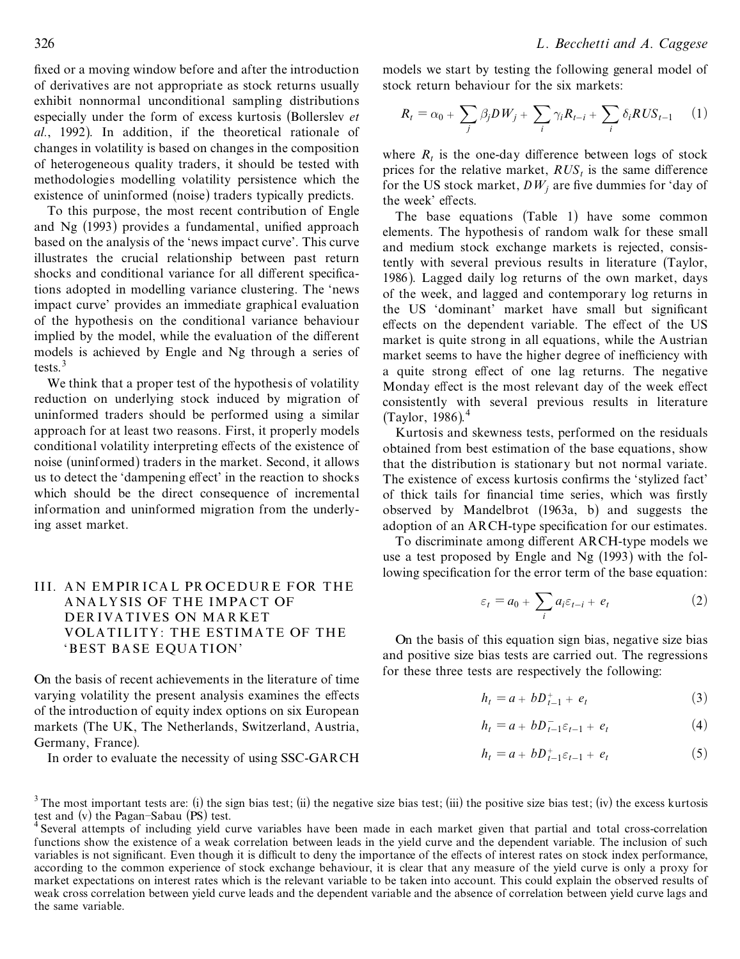fixed or a moving window before and after the introduction of derivatives are not appropriate as stock returns usually exhibit nonnormal unconditional sampling distributions especially under the form of excess kurtosis (Bollerslev *et al.*, 1992). In addition, if the theoretical rationale of changes in volatility is based on changes in the composition of heterogeneous quality traders, it should be tested with methodologies modelling volatility persistence which the existence of uninformed (noise) traders typically predicts.

To this purpose, the most recent contribution of Engle and Ng  $(1993)$  provides a fundamental, unified approach based on the analysis of the 'news impact curve'. This curve illustrates the crucial relationship between past return shocks and conditional variance for all different specifications adopted in modelling variance clustering. The `news impact curve' provides an immediate graphical evaluation of the hypothesis on the conditional variance behaviour implied by the model, while the evaluation of the different models is achieved by Engle and Ng through a series of tests $3$ 

We think that a proper test of the hypothesis of volatility reduction on underlying stock induced by migration of uninformed traders should be performed using a similar approach for at least two reasons. First, it properly models conditional volatility interpreting effects of the existence of noise (uninformed) traders in the market. Second, it allows us to detect the 'dampening effect' in the reaction to shocks which should be the direct consequence of incremental information and uninformed migration from the underlying asset market.

## III. A N EMPIR ICA L PR OCEDUR E FOR THE A NA LY SIS OF THE IMPA CT OF DER IVA TIVES ON MA R KET VOLA TILITY : THE ESTIMA TE OF THE `BEST BA SE EQUA TION'

On the basis of recent achievements in the literature of time varying volatility the present analysis examines the effects of the introduction of equity index options on six European markets (The UK, The Netherlands, Switzerland, Austria, Germany, France).

In order to evaluate the necessity of using SSC-GARCH

models we start by testing the following general model of stock return behaviour for the six markets:

$$
R_{t} = \alpha_{0} + \sum_{j} \beta_{j} DW_{j} + \sum_{i} \gamma_{i} R_{t-i} + \sum_{i} \delta_{i} RUS_{t-1} \qquad (1)
$$

where  $R_t$  is the one-day difference between logs of stock prices for the relative market,  $RUS_t$  is the same difference for the US stock market,  $DW_i$  are five dummies for 'day of the week' effects.

The base equations (Table 1) have some common elements. The hypothesis of random walk for these small and medium stock exchange markets is rejected, consistently with several previous results in literature (Taylor, 1986). Lagged daily log returns of the own market, days of the week, and lagged and contemporary log returns in the US 'dominant' market have small but significant effects on the dependent variable. The effect of the US market is quite strong in all equations, while the Austrian market seems to have the higher degree of inefficiency with a quite strong effect of one lag returns. The negative Monday effect is the most relevant day of the week effect consistently with several previous results in literature  $(Tavlor, 1986)^4$ 

Kurtosis and skewness tests, performed on the residuals obtained from best estimation of the base equations, show that the distribution is stationary but not normal variate. The existence of excess kurtosis confirms the 'stylized fact' of thick tails for financial time series, which was firstly observed by Mandelbrot (1963a, b) and suggests the adoption of an ARCH-type specification for our estimates.

To discriminate among different ARCH-type models we use a test proposed by Engle and Ng (1993) with the following specification for the error term of the base equation:

$$
\varepsilon_t = a_0 + \sum_i a_i \varepsilon_{t-i} + e_t \tag{2}
$$

On the basis of this equation sign bias, negative size bias and positive size bias tests are carried out. The regressions for these three tests are respectively the following:

$$
h_t = a + b D_{t-1}^+ + e_t \tag{3}
$$

$$
h_t = a + bD_{t-1}^- \varepsilon_{t-1} + e_t \tag{4}
$$

$$
h_t = a + bD_{t-1}^+ \varepsilon_{t-1} + e_t \tag{5}
$$

<sup>&</sup>lt;sup>3</sup> The most important tests are: (i) the sign bias test; (ii) the negative size bias test; (iii) the positive size bias test; (iv) the excess kurtosis test and (v) the Pagan-Sabau (PS) test.

Several attempts of including yield curve variables have been made in each market given that partial and total cross-correlation functions show the existence of a weak correlation between leads in the yield curve and the dependent variable. The inclusion of such variables is not significant. Even though it is difficult to deny the importance of the effects of interest rates on stock index performance, according to the common experience of stock exchange behaviour, it is clear that any measure of the yield curve is only a proxy for market expectations on interest rates which is the relevant variable to be taken into account. This could explain the observed results of weak cross correlation between yield curve leads and the dependent variable and the absence of correlation between yield curve lags and the same variable.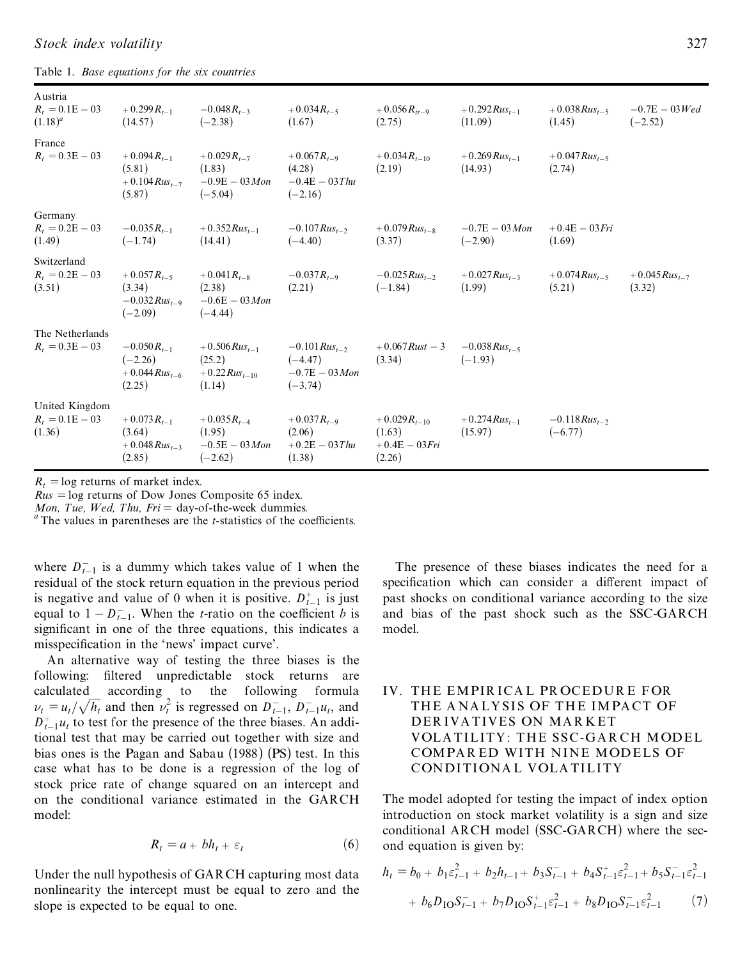| Austria<br>$R_t = 0.1E - 03$<br>$(1.18)^{a}$  | $+0.299R_{t-1}$<br>(14.57)                                   | $-0.048R_{t-3}$<br>$(-2.38)$                                 | $+0.034R_{t-5}$<br>(1.67)                                        | $+0.056 R_{tr-9}$<br>(2.75)                              | $+0.292 Rus_{t-1}$<br>(11.09)     | $+0.038 R u s_{t-5}$<br>(1.45)  | $-0.7E - 03$ <i>Wed</i><br>$(-2.52)$ |
|-----------------------------------------------|--------------------------------------------------------------|--------------------------------------------------------------|------------------------------------------------------------------|----------------------------------------------------------|-----------------------------------|---------------------------------|--------------------------------------|
| France<br>$R_t = 0.3E - 03$                   | $+0.094R_{t-1}$<br>(5.81)<br>$+0.104 R u s_{t-7}$<br>(5.87)  | $+0.029R_{t-7}$<br>(1.83)<br>$-0.9E - 03$ Mon<br>$(-5.04)$   | $+0.067R_{t-9}$<br>(4.28)<br>$-0.4E - 03$ Thu<br>$(-2.16)$       | $+0.034R_{t-10}$<br>(2.19)                               | $+0.269Rus_{t-1}$<br>(14.93)      | $+0.047 R u s_{t-5}$<br>(2.74)  |                                      |
| Germany<br>$R_t = 0.2E - 03$<br>(1.49)        | $-0.035R_{t-1}$<br>$(-1.74)$                                 | $+0.352Rus_{t-1}$<br>(14.41)                                 | $-0.107 Rus_{t-2}$<br>$(-4.40)$                                  | $+0.079 R u s_{t-8}$<br>(3.37)                           | $-0.7E - 03$ Mon<br>$(-2.90)$     | $+0.4E - 03 Fri$<br>(1.69)      |                                      |
| Switzerland<br>$R_t = 0.2E - 03$<br>(3.51)    | $+0.057R_{t-5}$<br>(3.34)<br>$-0.032 Rus_{t-9}$<br>$(-2.09)$ | $+0.041R_{t-8}$<br>(2.38)<br>$-0.6E - 03$ Mon<br>$(-4.44)$   | $-0.037R_{t-9}$<br>(2.21)                                        | $-0.025 Rus_{t-2}$<br>$(-1.84)$                          | $+0.027 R u s_{t-3}$<br>(1.99)    | $+0.074 Rus_{t-5}$<br>(5.21)    | $+0.045 Rus_{t-7}$<br>(3.32)         |
| The Netherlands<br>$R_t = 0.3E - 03$          | $-0.050R_{t-1}$<br>$(-2.26)$<br>$+0.044 Rus_{t-6}$<br>(2.25) | $+0.506 Rus_{t-1}$<br>(25.2)<br>$+0.22 Rus_{t-10}$<br>(1.14) | $-0.101 Rus_{t-2}$<br>$(-4.47)$<br>$-0.7E - 03$ Mon<br>$(-3.74)$ | $+0.067$ Rust $-3$<br>(3.34)                             | $-0.038 R u s_{t-5}$<br>$(-1.93)$ |                                 |                                      |
| United Kingdom<br>$R_t = 0.1E - 03$<br>(1.36) | $+0.073R_{t-1}$<br>(3.64)<br>$+0.048 Rus_{t-3}$<br>(2.85)    | $+0.035R_{t-4}$<br>(1.95)<br>$-0.5E - 03$ Mon<br>$(-2.62)$   | $+0.037R_{t-9}$<br>(2.06)<br>$+0.2E - 03$ Thu<br>(1.38)          | $+0.029R_{t-10}$<br>(1.63)<br>$+0.4E - 03 Fri$<br>(2.26) | $+0.274 Rus_{t-1}$<br>(15.97)     | $-0.118 Rus_{t-2}$<br>$(-6.77)$ |                                      |

*Stock index volatility* 327

Table 1. *Base equations for the six countries*

 $R_t$  = log returns of market index.<br> *Rus* = log returns of Dow Jones Composite 65 index.<br> *Mon, Tue, Wed, Thu, Fri* = day-of-the-week dummies.<br>
<sup>*a*</sup> The values in parentheses are the *t*-statistics of the coefficients.

where  $D_{t-1}^-$  is a dummy which takes value of 1 when the residual of the stock return equation in the previous period is negative and value of 0 when it is positive.  $D_{t-1}^{+}$  is just equal to  $1 - D_{t-1}^-$ . When the *t*-ratio on the coefficient *b* is significant in one of the three equations, this indicates a misspecification in the 'news' impact curve'.

An alternative way of testing the three biases is the following: filtered unpredictable stock returns are calculated according to the following formula  $\nu_t = u_t / \sqrt{h_t}$  and then  $\nu_t^2$  is regressed on  $D_{t-1}^-$ ,  $D_{t-1}^- u_t$ , and  $D_{t-1}^{+}u_t$  to test for the presence of the three biases. An additional test that may be carried out together with size and bias ones is the Pagan and Sabau (1988) (PS) test. In this case what has to be done is a regression of the log of stock price rate of change squared on an intercept and on the conditional variance estimated in the GARCH model:

$$
R_t = a + bh_t + \varepsilon_t \tag{6}
$$

Under the null hypothesis of GARCH capturing most data nonlinearity the intercept must be equal to zero and the slope is expected to be equal to one.

The presence of these biases indicates the need for a specification which can consider a different impact of past shocks on conditional variance according to the size and bias of the past shock such as the SSC-GARCH model.

## IV. THE EMPIR ICA L PR OCEDUR E FOR THE ANALYSIS OF THE IMPACT OF DERIVATIVES ON MARKET VOLA TILITY : THE SSC-GA R CH MODEL COMPARED WITH NINE MODELS OF CONDITIONA L VOLA TILITY

The model adopted for testing the impact of index option introduction on stock market volatility is a sign and size conditional ARCH model (SSC-GARCH) where the sec ond equation is given by:

$$
h_{t} = b_{0} + b_{1}\varepsilon_{t-1}^{2} + b_{2}h_{t-1} + b_{3}S_{t-1}^{-} + b_{4}S_{t-1}^{2}\varepsilon_{t-1}^{2} + b_{5}S_{t-1}^{-}\varepsilon_{t-1}^{2}
$$

$$
+ b_{6}D_{10}S_{t-1}^{-} + b_{7}D_{10}S_{t-1}^{2}\varepsilon_{t-1}^{2} + b_{8}D_{10}S_{t-1}^{-}\varepsilon_{t-1}^{2} \tag{7}
$$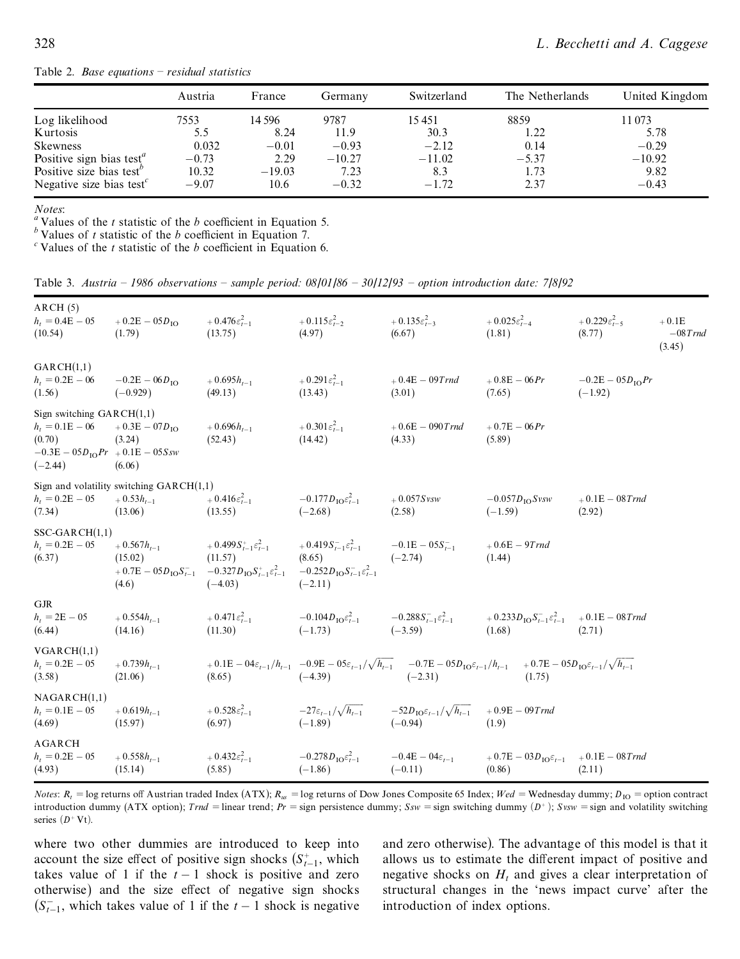Table 2. *Base equations ± residual statistics*

|                                                   | Austria | France   | Germany  | Switzerland | The Netherlands | United Kingdom |
|---------------------------------------------------|---------|----------|----------|-------------|-----------------|----------------|
| Log likelihood                                    | 7553    | 14 596   | 9787     | 15 45 1     | 8859            | 11 073         |
| Kurtosis                                          | 5.5     | 8.24     | 11.9     | 30.3        | 1.22            | 5.78           |
| Skewness                                          | 0.032   | $-0.01$  | $-0.93$  | $-2.12$     | 0.14            | $-0.29$        |
| Positive sign bias test <sup><math>a</math></sup> | $-0.73$ | 2.29     | $-10.27$ | $-11.02$    | $-5.37$         | $-10.92$       |
| Positive size bias test <sup>o</sup>              | 10.32   | $-19.03$ | 7.23     | 8.3         | 1.73            | 9.82           |
| Negative size bias test $c$                       | $-9.07$ | 10.6     | $-0.32$  | $-1.72$     | 2.37            | $-0.43$        |

*Notes*:  $\frac{a}{b}$  Values of the *t* statistic of the *b* coefficient in Equation 5.

*b* Values of *t* statistic of the *b* coefficient in Equation 7.<br><sup>*c*</sup> Values of the *t* statistic of the *b* coefficient in Equation 6.

Table 3. *Austria ± 1986 observations ± sample period: 08/01/86 ± 30/12/93 ± option introduction date: 7/8/92*

| ARCH(5)<br>$h_t = 0.4E - 05$<br>(10.54)                                                                        | $+0.2E - 05D_{\text{IO}}$<br>(1.79)                                     | $+0.476\varepsilon_{t-1}^2$<br>(13.75)                                                                                                                                          | $+0.115\varepsilon_{t-2}^2$<br>(4.97)                       | $+0.135\varepsilon_{t-3}^2$<br>(6.67)                                                                                                                                                      | $+0.025\varepsilon_{t-4}^2$<br>(1.81)                           | $+0.229 \varepsilon_{t-5}^2$<br>(8.77)   | $+0.1E$<br>$-08$ Trnd<br>(3.45) |
|----------------------------------------------------------------------------------------------------------------|-------------------------------------------------------------------------|---------------------------------------------------------------------------------------------------------------------------------------------------------------------------------|-------------------------------------------------------------|--------------------------------------------------------------------------------------------------------------------------------------------------------------------------------------------|-----------------------------------------------------------------|------------------------------------------|---------------------------------|
| GARCH(1,1)<br>$h_t = 0.2E - 06$<br>(1.56)                                                                      | $-0.2E - 06D_{\text{IO}}$<br>$(-0.929)$                                 | $+0.695h_{t-1}$<br>(49.13)                                                                                                                                                      | $+0.291\varepsilon_{t-1}^2$<br>(13.43)                      | $+0.4E - 09Trnd$<br>(3.01)                                                                                                                                                                 | $+0.8E - 06 Pr$<br>(7.65)                                       | $-0.2E - 05D_{\text{IO}}Pr$<br>$(-1.92)$ |                                 |
| Sign switching $GARCH(1,1)$<br>$h_t = 0.1E - 06$<br>(0.70)<br>$-0.3E - 05D_{10}Pr$ + 0.1E - 05Ssw<br>$(-2.44)$ | $+0.3E - 07D_{10}$<br>(3.24)<br>(6.06)                                  | $+0.696h_{t-1}$<br>(52.43)                                                                                                                                                      | $+0.301\varepsilon_{t-1}^2$<br>(14.42)                      | $+0.6E - 090$ Trnd<br>(4.33)                                                                                                                                                               | $+0.7E - 06 Pr$<br>(5.89)                                       |                                          |                                 |
| $h_t = 0.2E - 05$<br>(7.34)                                                                                    | Sign and volatility switching $GARCH(1,1)$<br>$+0.53h_{t-1}$<br>(13.06) | $+0.416\varepsilon_{t-1}^2$<br>(13.55)                                                                                                                                          | $-0.177D_{\text{IO}}\varepsilon_{t-1}^2$<br>$(-2.68)$       | $+0.057Svsw$<br>(2.58)                                                                                                                                                                     | $-0.057D_{\text{IO}}S$ vsw<br>$(-1.59)$                         | $+0.1E - 08$ Trnd<br>(2.92)              |                                 |
| $SSC-GARCH(1,1)$<br>$h_t = 0.2E - 05$<br>(6.37)                                                                | $+0.567h_{t-1}$<br>(15.02)<br>(4.6)                                     | $+0.499S_{t-1}^+\varepsilon_{t-1}^2$<br>(11.57)<br>$+0.7E - 05D_{10}S_{t-1}$ $-0.327D_{10}S_{t-1}^2\varepsilon_{t-1}^2$ $-0.252D_{10}S_{t-1}^2\varepsilon_{t-1}^2$<br>$(-4.03)$ | $+0.419S_{t-1}^-\varepsilon_{t-1}^2$<br>(8.65)<br>$(-2.11)$ | $-0.1E - 0.5S_{t-1}$<br>$(-2.74)$                                                                                                                                                          | $+0.6E-9Trnd$<br>(1.44)                                         |                                          |                                 |
| <b>GJR</b><br>$h_t = 2E - 05$<br>(6.44)                                                                        | $+0.554h_{t-1}$<br>(14.16)                                              | $+0.471\varepsilon_{t-1}^2$<br>(11.30)                                                                                                                                          | $-0.104D_{\rm IO}\varepsilon_{t-1}^2$<br>$(-1.73)$          | $-0.288S_{t-1}^{-}\varepsilon_{t-1}^{2}$ $+0.233D_{\text{IO}}S_{t-1}^{-}\varepsilon_{t-1}^{2}$ $+0.1E-08Trnd$<br>$(-3.59)$                                                                 | (1.68)                                                          | (2.71)                                   |                                 |
| VGANCH(1,1)<br>$h_t = 0.2E - 05$<br>(3.58)                                                                     | $+0.739h_{t-1}$<br>(21.06)                                              | (8.65)                                                                                                                                                                          | $(-4.39)$                                                   | $+0.1E-0.4\varepsilon_{t-1}/h_{t-1}$ $-0.9E-0.5\varepsilon_{t-1}/\sqrt{h_{t-1}}$ $-0.7E-0.5D_{10}\varepsilon_{t-1}/h_{t-1}$ $+0.7E-0.5D_{10}\varepsilon_{t-1}/\sqrt{h_{t-1}}$<br>$(-2.31)$ | (1.75)                                                          |                                          |                                 |
| NAGARCH(1,1)<br>$h_t = 0.1E - 05$<br>(4.69)                                                                    | $+0.619h_{t-1}$<br>(15.97)                                              | $+0.528\varepsilon_{t-1}^2$<br>(6.97)                                                                                                                                           | $-27\varepsilon_{t-1}/\sqrt{h_{t-1}}$<br>$(-1.89)$          | $-52D_{\rm 1O}\varepsilon_{t-1}/\sqrt{h_{t-1}}$ $+0.9E-09T$ rnd<br>$(-0.94)$                                                                                                               | (1.9)                                                           |                                          |                                 |
| AGARCH<br>$h_t = 0.2E - 05$<br>(4.93)                                                                          | $+0.558h_{t-1}$<br>(15.14)                                              | $+0.432\varepsilon_{t-1}^2$<br>(5.85)                                                                                                                                           | $-0.278 D_{\rm IO} \varepsilon_{t-1}^2$<br>$(-1.86)$        | $-0.4E - 04\varepsilon_{t-1}$<br>$(-0.11)$                                                                                                                                                 | $+0.7E - 03D_{IO} \varepsilon_{t-1}$ $+0.1E - 08Trnd$<br>(0.86) | (2.11)                                   |                                 |

*Notes*:  $R_t$  = log returns off Austrian traded Index (ATX);  $R_{us}$  = log returns of Dow Jones Composite 65 Index; *Wed* = Wednesday dummy;  $D_{10}$  = option contract introduction dummy (ATX option); *Trnd* = linear trend; *Pr* = sign persistence dummy;  $Ssw$  = sign switching dummy  $(D^+)$ ;  $Svsw$  = sign and volatility switching series  $(D^+ Vt)$ .

where two other dummies are introduced to keep into account the size effect of positive sign shocks  $(S_{t-1}^+$ , which takes value of 1 if the  $t - 1$  shock is positive and zero otherwise) and the size effect of negative sign shocks  $(S_{t-1}^-)$ , which takes value of 1 if the  $t-1$  shock is negative

and zero otherwise). The advantage of this model is that it allows us to estimate the different impact of positive and negative shocks on  $H_t$  and gives a clear interpretation of structural changes in the `news impact curve' after the introduction of index options.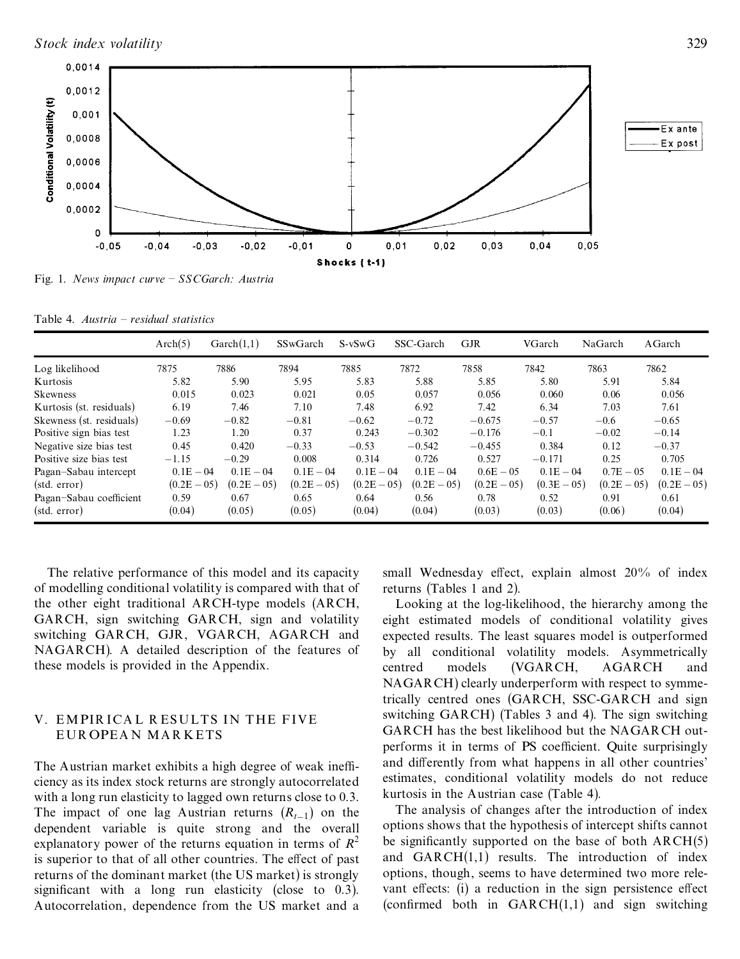

Fig. 1. *News impact curve ± SSCGarch: Austria*

Table 4. *Austria ± residual statistics*

|                          | Arch(5)       | Garch(1,1)    | SSwGarch      | $S-vSwG$      | SSC-Garch     | <b>GJR</b>    | VGarch        | NaGarch       | AGarch        |
|--------------------------|---------------|---------------|---------------|---------------|---------------|---------------|---------------|---------------|---------------|
| Log likelihood           | 7875          | 7886          | 7894          | 7885          | 7872          | 7858          | 7842          | 7863          | 7862          |
| Kurtosis                 | 5.82          | 5.90          | 5.95          | 5.83          | 5.88          | 5.85          | 5.80          | 5.91          | 5.84          |
| Skewness                 | 0.015         | 0.023         | 0.021         | 0.05          | 0.057         | 0.056         | 0.060         | 0.06          | 0.056         |
| Kurtosis (st. residuals) | 6.19          | 7.46          | 7.10          | 7.48          | 6.92          | 7.42          | 6.34          | 7.03          | 7.61          |
| Skewness (st. residuals) | $-0.69$       | $-0.82$       | $-0.81$       | $-0.62$       | $-0.72$       | $-0.675$      | $-0.57$       | $-0.6$        | $-0.65$       |
| Positive sign bias test  | 1.23          | 1.20          | 0.37          | 0.243         | $-0.302$      | $-0.176$      | $-0.1$        | $-0.02$       | $-0.14$       |
| Negative size bias test  | 0.45          | 0.420         | $-0.33$       | $-0.53$       | $-0.542$      | $-0.455$      | 0.384         | 0.12          | $-0.37$       |
| Positive size bias test  | $-1.15$       | $-0.29$       | 0.008         | 0.314         | 0.726         | 0.527         | $-0.171$      | 0.25          | 0.705         |
| Pagan-Sabau intercept    | $0.1E - 04$   | $0.1E - 04$   | $0.1E - 04$   | $0.1E - 0.4$  | $0.1E - 04$   | $0.6E - 0.5$  | $0.1E - 04$   | $0.7E - 0.5$  | $0.1E - 04$   |
| (stat. error)            | $(0.2E - 05)$ | $(0.2E - 05)$ | $(0.2E - 05)$ | $(0.2E - 05)$ | $(0.2E - 05)$ | $(0.2E - 05)$ | $(0.3E - 05)$ | $(0.2E - 05)$ | $(0.2E - 05)$ |
| Pagan-Sabau coefficient  | 0.59          | 0.67          | 0.65          | 0.64          | 0.56          | 0.78          | 0.52          | 0.91          | 0.61          |
| (stat. error)            | (0.04)        | (0.05)        | (0.05)        | (0.04)        | (0.04)        | (0.03)        | (0.03)        | (0.06)        | (0.04)        |

The relative performance of this model and its capacity of modelling conditional volatility is compared with that of the other eight traditional ARCH-type models (ARCH, GARCH, sign switching GARCH, sign and volatility switching GARCH, GJR, VGARCH, AGARCH and NAGARCH). A detailed description of the features of these models is provided in the Appendix.

### V. EMPIR ICA L R ESULTS IN THE FIVE EUR OPEA N MA R KETS

The Austrian market exhibits a high degree of weak inefficiency as its index stock returns are strongly autocorrelated with a long run elasticity to lagged own returns close to 0.3. The impact of one lag Austrian returns  $(R_{t-1})$  on the dependent variable is quite strong and the overall explanatory power of the returns equation in terms of  $R^2$ is superior to that of all other countries. The effect of past returns of the dominant market (the US market) is strongly significant with a long run elasticity (close to  $0.3$ ). Autocorrelation, dependence from the US market and a

small Wednesday effect, explain almost 20% of index returns (Tables 1 and 2).

Looking at the log-likelihood, the hierarchy among the eight estimated models of conditional volatility gives expected results. The least squares model is outperformed by all conditional volatility models. Asymmetrically centred models (VGARCH, AGARCH and NAGARCH) clearly underperform with respect to symmetrically centred ones (GARCH, SSC-GARCH and sign switching GARCH) (Tables 3 and 4). The sign switching GARCH has the best likelihood but the NAGARCH out performs it in terms of PS coefficient. Quite surprisingly and differently from what happens in all other countries' estimates, conditional volatility models do not reduce kurtosis in the Austrian case (Table 4).

The analysis of changes after the introduction of index options shows that the hypothesis of intercept shifts cannot be significantly supported on the base of both  $ARCH(5)$ and  $GARCH(1,1)$  results. The introduction of index options, though, seems to have determined two more rele vant effects:  $(i)$  a reduction in the sign persistence effect (confirmed both in  $GARCH(1,1)$  and sign switching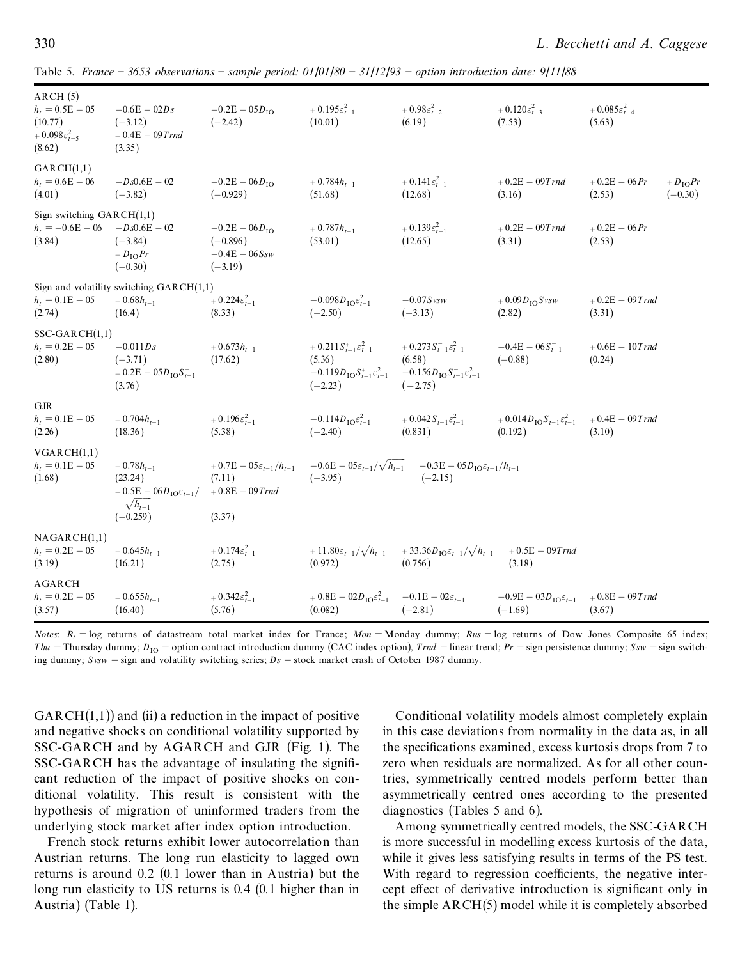| ARCH(5)<br>$h_t = 0.5E - 05$<br>(10.77)<br>$+0.098\varepsilon_{t-5}^2$<br>(8.62) | $-0.6E - 02Ds$<br>$(-3.12)$<br>$+0.4E - 09Trnd$<br>(3.35)                                                  | $-0.2E - 05D_{10}$<br>$(-2.42)$                                               | $+0.195\varepsilon_{t-1}^2$<br>(10.01)                                                                        | $+0.98\varepsilon_{t-2}^2$<br>(6.19)                                                                               | $+0.120\varepsilon_{t-3}^2$<br>(7.53)                                       | $+0.085\varepsilon_{t-4}^2$<br>(5.63)                     |
|----------------------------------------------------------------------------------|------------------------------------------------------------------------------------------------------------|-------------------------------------------------------------------------------|---------------------------------------------------------------------------------------------------------------|--------------------------------------------------------------------------------------------------------------------|-----------------------------------------------------------------------------|-----------------------------------------------------------|
| GARCH(1,1)<br>$h_t = 0.6E - 06$<br>(4.01)                                        | $-Ds0.6E - 02$<br>$(-3.82)$                                                                                | $-0.2E - 06D_{IO}$<br>$(-0.929)$                                              | $+0.784h_{t-1}$<br>(51.68)                                                                                    | + $0.141 \varepsilon_{t-1}^2$<br>(12.68)                                                                           | $+0.2E - 09Trnd$<br>(3.16)                                                  | $+0.2E - 06 Pr$<br>$+D_{\rm IO}Pr$<br>(2.53)<br>$(-0.30)$ |
| Sign switching $GARCH(1,1)$<br>$h_t = -0.6E - 06$ $-Ds0.6E - 02$<br>(3.84)       | $(-3.84)$<br>$+D_{\rm IO}Pr$<br>$(-0.30)$                                                                  | $-0.2E - 06D_{1O}$<br>$(-0.896)$<br>$-0.4E - 06Ssw$<br>$(-3.19)$              | $+0.787h_{t-1}$<br>(53.01)                                                                                    | $+0.139\varepsilon_{t-1}^2$<br>(12.65)                                                                             | $+0.2E - 09Trnd$<br>(3.31)                                                  | $+0.2E - 06 Pr$<br>(2.53)                                 |
| $h_t = 0.1E - 05$<br>(2.74)                                                      | Sign and volatility switching $GARCH(1,1)$<br>$+0.68h_{t-1}$<br>(16.4)                                     | $+0.224\varepsilon_{t-1}^2$<br>(8.33)                                         | $-0.098D_{\text{IO}}\varepsilon_{t-1}^2$<br>$(-2.50)$                                                         | $-0.07Svsw$<br>$(-3.13)$                                                                                           | $+0.09D_{\text{IO}}Svsw$<br>(2.82)                                          | $+0.2E - 09$ Trnd<br>(3.31)                               |
| $SSC-GARCH(1,1)$<br>$h_t = 0.2E - 05$<br>(2.80)                                  | $-0.011Ds$<br>$(-3.71)$<br>$+0.2E - 05D_{\text{IO}}S_{t-1}^{-}$<br>(3.76)                                  | $+0.673h_{t-1}$<br>(17.62)                                                    | $+0.211S_{t-1}^+\varepsilon_{t-1}^2$<br>(5.36)<br>$-0.119D_{\rm IO}S_{t-1}^+\varepsilon_{t-1}^2$<br>$(-2.23)$ | $+0.273S_{t-1}^{-}\varepsilon_{t-1}^{2}$<br>(6.58)<br>$-0.156D_{\rm IO}S_{t-1}^{-\epsilon_{t-1}^{2}}$<br>$(-2.75)$ | $-0.4E - 06S_{t-1}^{-}$<br>$(-0.88)$                                        | $+0.6E - 10$ Trnd<br>(0.24)                               |
| <b>GJR</b><br>$h_t = 0.1E - 05$<br>(2.26)                                        | $+0.704h_{t-1}$<br>(18.36)                                                                                 | $+0.196\varepsilon_{t-1}^2$<br>(5.38)                                         | $-0.114D_{\rm IO}\varepsilon_{t-1}^2$<br>$(-2.40)$                                                            | $+0.042S_{t-1}^{-\epsilon_{t-1}^{2}}$<br>(0.831)                                                                   | $+0.014D_{\rm IO}S_{t-1}^{-}\varepsilon_{t-1}^2 + 0.4E - 09Trnd$<br>(0.192) | (3.10)                                                    |
| VGARCH(1,1)<br>$h_t = 0.1E - 05$<br>(1.68)                                       | $+0.78h_{t-1}$<br>(23.24)<br>$+0.5E-06D_{\mathrm{IO}}\varepsilon_{t-1}/$<br>$\sqrt{h_{t-1}}$<br>$(-0.259)$ | $+0.7E-0.5\varepsilon_{t-1}/h_{t-1}$<br>(7.11)<br>$+0.8E - 09$ Trnd<br>(3.37) | $(-3.95)$                                                                                                     | $-0.6E - 0.05\varepsilon_{t-1}/\sqrt{h_{t-1}}$ $-0.3E - 0.05D_{10}\varepsilon_{t-1}/h_{t-1}$<br>$(-2.15)$          |                                                                             |                                                           |
| NAGARCH(1,1)<br>$h_t = 0.2E - 05$<br>(3.19)                                      | $+0.645h_{t-1}$<br>(16.21)                                                                                 | $+0.174\varepsilon_{t-1}^2$<br>(2.75)                                         | $+11.80\varepsilon_{t-1}/\sqrt{h_{t-1}}$<br>(0.972)                                                           | + 33.36 $D_{\text{IO}}\varepsilon_{t-1}/\sqrt{h_{t-1}}$<br>(0.756)                                                 | $+0.5E - 09T$ rnd<br>(3.18)                                                 |                                                           |
| AGARCH<br>$h_t = 0.2E - 05$<br>(3.57)                                            | $+0.655h_{t-1}$<br>(16.40)                                                                                 | + $0.342\varepsilon_{t-1}^2$<br>(5.76)                                        | $+0.8E - 02D_{\text{IO}}\varepsilon_{t-1}^2$<br>(0.082)                                                       | $-0.1E - 02\varepsilon_{t-1}$<br>$(-2.81)$                                                                         | $-0.9E - 03D_{\text{IO}}\varepsilon_{t-1}$<br>$(-1.69)$                     | $+0.8E - 09$ Trnd<br>(3.67)                               |

Table 5. *France ± 3653 observations ± sample period: 01/01/80 ± 31/12/93 ± option introduction date: 9/11/88*

*Notes*:  $R_t = \log$  returns of datastream total market index for France; *Mon* = Monday dummy;  $Rus = \log$  returns of Dow Jones Composite 65 index; *Thu* = Thursday dummy;  $D_{10}$  = option contract introduction dummy (CAC index option), *Trnd* = linear trend; *Pr* = sign persistence dummy;  $Ssw$  = sign switching dummy;  $Svsw = sign$  and volatility switching series;  $Ds = stock$  market crash of October 1987 dummy.

 $GARCH(1,1)$  and (ii) a reduction in the impact of positive and negative shocks on conditional volatility supported by SSC-GARCH and by AGARCH and GJR (Fig. 1). The  $SSC-GARCH$  has the advantage of insulating the significant reduction of the impact of positive shocks on con ditional volatility. This result is consistent with the hypothesis of migration of uninformed traders from the underlying stock market after index option introduction.

French stock returns exhibit lower autocorrelation than Austrian returns. The long run elasticity to lagged own returns is around 0.2 (0.1 lower than in Austria) but the long run elasticity to US returns is 0.4 (0.1 higher than in Austria) (Table 1).

Conditional volatility models almost completely explain in this case deviations from normality in the data as, in all the specifications examined, excess kurtosis drops from 7 to zero when residuals are normalized. As for all other countries, symmetrically centred models perform better than asymmetrically centred ones according to the presented diagnostics (Tables 5 and 6).

Among symmetrically centred models, the SSC-GARCH is more successful in modelling excess kurtosis of the data, while it gives less satisfying results in terms of the PS test. With regard to regression coefficients, the negative intercept effect of derivative introduction is significant only in the simple ARCH(5) model while it is completely absorbed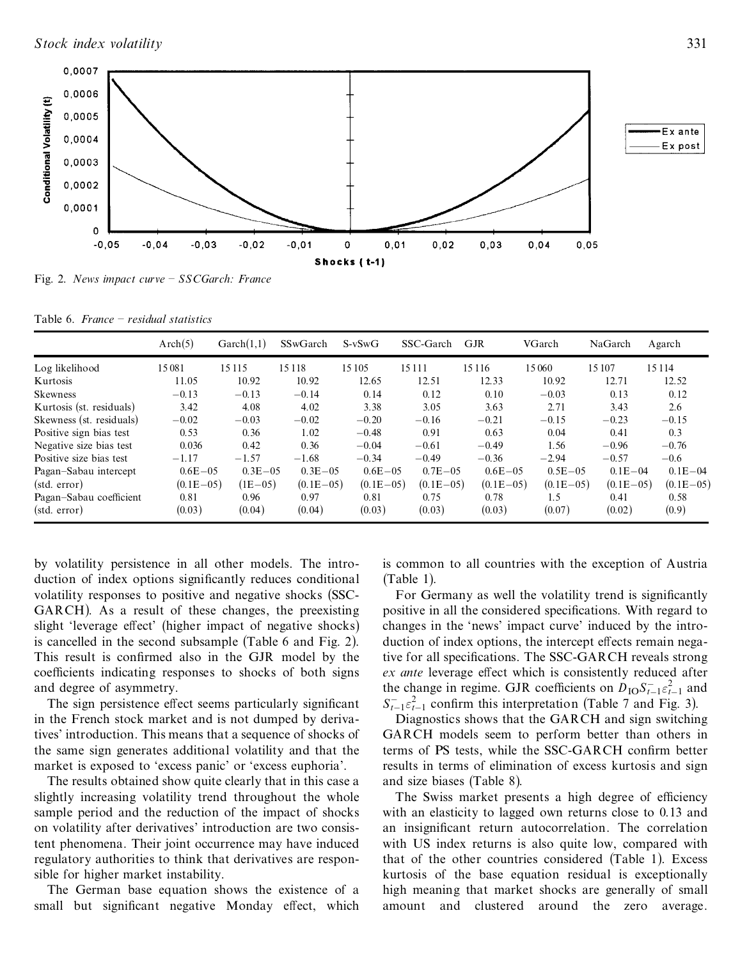

Fig. 2. *News impact curve ± SSCGarch: France*

Table 6. *France ± residual statistics*

|                          | Arch(5)      | $\text{Garch}(1,1)$ | SSwGarch     | $S-vSwG$     | SSC-Garch    | <b>GJR</b>   | VGarch       | NaGarch      | Agarch      |
|--------------------------|--------------|---------------------|--------------|--------------|--------------|--------------|--------------|--------------|-------------|
| Log likelihood           | 15081        | 15 11 5             | 15 1 18      | 15 105       | 15 1 1 1     | 15 1 16      | 15060        | 15 107       | 15 1 14     |
| Kurtosis                 | 11.05        | 10.92               | 10.92        | 12.65        | 12.51        | 12.33        | 10.92        | 12.71        | 12.52       |
| <b>Skewness</b>          | $-0.13$      | $-0.13$             | $-0.14$      | 0.14         | 0.12         | 0.10         | $-0.03$      | 0.13         | 0.12        |
| Kurtosis (st. residuals) | 3.42         | 4.08                | 4.02         | 3.38         | 3.05         | 3.63         | 2.71         | 3.43         | 2.6         |
| Skewness (st. residuals) | $-0.02$      | $-0.03$             | $-0.02$      | $-0.20$      | $-0.16$      | $-0.21$      | $-0.15$      | $-0.23$      | $-0.15$     |
| Positive sign bias test  | 0.53         | 0.36                | 1.02         | $-0.48$      | 0.91         | 0.63         | 0.04         | 0.41         | 0.3         |
| Negative size bias test  | 0.036        | 0.42                | 0.36         | $-0.04$      | $-0.61$      | $-0.49$      | 1.56         | $-0.96$      | $-0.76$     |
| Positive size bias test  | $-1.17$      | $-1.57$             | $-1.68$      | $-0.34$      | $-0.49$      | $-0.36$      | $-2.94$      | $-0.57$      | $-0.6$      |
| Pagan-Sabau intercept    | $0.6E - 0.5$ | $0.3E - 0.5$        | $0.3E - 0.5$ | $0.6E - 0.5$ | $0.7E - 0.5$ | $0.6E - 0.5$ | $0.5E - 0.5$ | $0.1E - 04$  | $0.1E - 04$ |
| (stat. error)            | $(0.1E-0.5)$ | $(1E-05)$           | $(0.1E-0.5)$ | $(0.1E-05)$  | $(0.1E-0.5)$ | $(0.1E-0.5)$ | $(0.1E-0.5)$ | $(0.1E-0.5)$ | $(0.1E-05)$ |
| Pagan-Sabau coefficient  | 0.81         | 0.96                | 0.97         | 0.81         | 0.75         | 0.78         | 1.5          | 0.41         | 0.58        |
| (stat. error)            | (0.03)       | (0.04)              | (0.04)       | (0.03)       | (0.03)       | (0.03)       | (0.07)       | (0.02)       | (0.9)       |

by volatility persistence in all other models. The intro duction of index options significantly reduces conditional volatility responses to positive and negative shocks (SSC-GARCH). As a result of these changes, the preexisting slight 'leverage effect' (higher impact of negative shocks) is cancelled in the second subsample (Table 6 and Fig. 2). This result is confirmed also in the GJR model by the coefficients indicating responses to shocks of both signs and degree of asymmetry.

The sign persistence effect seems particularly significant in the French stock market and is not dumped by derivatives' introduction. This means that a sequence of shocks of the same sign generates additional volatility and that the market is exposed to 'excess panic' or 'excess euphoria'.

The results obtained show quite clearly that in this case a slightly increasing volatility trend throughout the whole sample period and the reduction of the impact of shocks on volatility after derivatives' introduction are two consistent phenomena. Their joint occurrence may have induced regulatory authorities to think that derivatives are responsible for higher market instability.

The German base equation shows the existence of a small but significant negative Monday effect, which is common to all countries with the exception of Austria (Table 1).

For Germany as well the volatility trend is significantly positive in all the considered specifications. With regard to changes in the `news' impact curve' induced by the intro duction of index options, the intercept effects remain negative for all specifications. The SSC-GARCH reveals strong *ex ante* leverage effect which is consistently reduced after the change in regime. GJR coefficients on  $D_{\text{IO}} S_{t-1} \varepsilon_{t-1}^2$  and  $S_{t-1}^2 \varepsilon_{t-1}^2$  confirm this interpretation (Table 7 and Fig. 3).<br>Diagnostics shows that the GARCH and sign switching

GARCH models seem to perform better than others in terms of PS tests, while the SSC-GARCH confirm better results in terms of elimination of excess kurtosis and sign and size biases (Table 8).

The Swiss market presents a high degree of efficiency with an elasticity to lagged own returns close to 0.13 and an insignificant return autocorrelation. The correlation with US index returns is also quite low, compared with that of the other countries considered (Table 1). Excess kurtosis of the base equation residual is exceptionally high meaning that market shocks are generally of small amount and clustered around the zero average.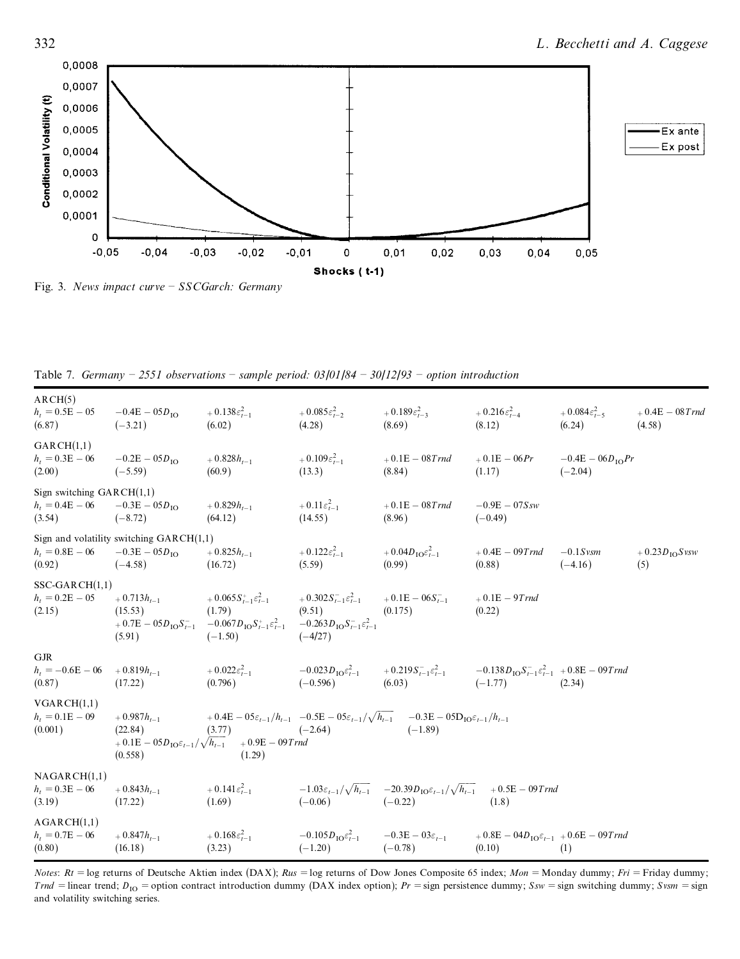

Fig. 3. *News impact curve ± SSCGarch: Germany*

Table 7. *Germany ± 2551 observations ± sample period: 03/01/84 ± 30/12/93 ± option introduction*

| ARCH(5)<br>$h_t = 0.5E - 05$ $-0.4E - 05D_{10}$<br>(6.87)  | $(-3.21)$                                                                                                        | $+0.138\varepsilon_{t-1}^2$<br>(6.02)                                                                                                                                                                                                                         | $+0.085\varepsilon_{t-2}^2$<br>(4.28) | $+0.189\varepsilon_{t-3}^2$<br>(8.69)                                                                                                                                                                   | $+0.216 \varepsilon_{t-4}^2 + 0.084 \varepsilon_{t-5}^2$<br>(8.12) | (6.24)                            | $+0.4E - 08$ Trnd<br>(4.58)      |
|------------------------------------------------------------|------------------------------------------------------------------------------------------------------------------|---------------------------------------------------------------------------------------------------------------------------------------------------------------------------------------------------------------------------------------------------------------|---------------------------------------|---------------------------------------------------------------------------------------------------------------------------------------------------------------------------------------------------------|--------------------------------------------------------------------|-----------------------------------|----------------------------------|
| GARCH(1,1)<br>$h_t = 0.3E - 06$<br>(2.00)                  | $-0.2E - 05D_{\text{IO}}$<br>$(-5.59)$                                                                           | $+0.828h_{t-1}$<br>(60.9)                                                                                                                                                                                                                                     | $+0.109\varepsilon_{t-1}^2$<br>(13.3) | $+0.1E - 08Trnd$<br>(8.84)                                                                                                                                                                              | $+0.1E-06Pr$<br>(1.17)                                             | $-0.4E - 06D_{10}Pr$<br>$(-2.04)$ |                                  |
| Sign switching $GARCH(1,1)$<br>$h_t = 0.4E - 06$<br>(3.54) | $-0.3E - 05D_{\text{IO}}$<br>$(-8.72)$                                                                           | $+0.829h_{t-1}$<br>(64.12)                                                                                                                                                                                                                                    | $+0.11\varepsilon_{t-1}^2$<br>(14.55) | $+0.1E-08Trnd$<br>(8.96)                                                                                                                                                                                | $-0.9E - 07Ssw$<br>$(-0.49)$                                       |                                   |                                  |
| (0.92)                                                     | Sign and volatility switching $GARCH(1,1)$<br>$h_t = 0.8E - 06$ $-0.3E - 05D_{10}$ $+ 0.825h_{t-1}$<br>$(-4.58)$ | (16.72)                                                                                                                                                                                                                                                       | $+0.122\varepsilon_{t-1}^2$<br>(5.59) | $+0.04D_{\text{IO}}\varepsilon_{t-1}^2$<br>(0.99)                                                                                                                                                       | $+0.4E-09Trnd$<br>(0.88)                                           | $-0.1$ Svsm<br>$(-4.16)$          | $+0.23D_{\text{IO}}S$ vsw<br>(5) |
| $SSC-GARCH(1,1)$<br>$h_t = 0.2E - 05$<br>(2.15)            | $+0.713h_{t-1}$<br>(15.53)<br>(1.79)<br>(5.91)                                                                   | $+0.065S_{t-1}^{+}\varepsilon_{t-1}^{2}$ $+0.302S_{t-1}^{-}\varepsilon_{t-1}^{2}$ $+0.1E-06S_{t-1}^{-}$<br>(9.51)<br>$+0.7E - 05D_{10}S_{t-1}^{-}$ $-0.067D_{10}S_{t-1}^{+}\varepsilon_{t-1}^{2}$ $-0.263D_{10}S_{t-1}^{-}\varepsilon_{t-1}^{2}$<br>$(-1.50)$ | $(-4/27)$                             | (0.175)                                                                                                                                                                                                 | $+0.1E-9Trnd$<br>(0.22)                                            |                                   |                                  |
| <b>GJR</b><br>$h_t = -0.6E - 06 + 0.819h_{t-1}$<br>(0.87)  | (17.22)                                                                                                          |                                                                                                                                                                                                                                                               |                                       | + $0.022\varepsilon_{t-1}^2$ $-0.023D_{10}\varepsilon_{t-1}^2$ $+0.219S_{t-1}^-\varepsilon_{t-1}^2$ $-0.138D_{10}S_{t-1}^-\varepsilon_{t-1}^2 + 0.8E - 09Tmd$<br>$(-0.596)$ $(6.03)$ $(-1.77)$ $(2.34)$ | $(-1.77)$ (2.34)                                                   |                                   |                                  |
| VGARCH(1,1)<br>$h_t = 0.1E - 0.09$<br>(0.001)              | $+0.987h_{t-1}$<br>(22.84)<br>(0.558)                                                                            | (3.77)<br>$+0.1E - 05D_{10}\varepsilon_{t-1}/\sqrt{h_{t-1}}$ $+0.9E - 09Trnd$<br>(1.29)                                                                                                                                                                       | $(-2.64)$                             | $+0.4E - 05\varepsilon_{t-1}/h_{t-1}$ $-0.5E - 05\varepsilon_{t-1}/\sqrt{h_{t-1}}$ $-0.3E - 05D_{10}\varepsilon_{t-1}/h_{t-1}$<br>$(-1.89)$                                                             |                                                                    |                                   |                                  |
| NAGARCH(1,1)<br>$h_t = 0.3E - 06$<br>(3.19)                | $+0.843h_{t-1}$<br>(17.22)                                                                                       | (1.69)                                                                                                                                                                                                                                                        | $(-0.06)$                             | $+0.141\varepsilon_{t-1}^2$ $-1.03\varepsilon_{t-1}/\sqrt{h_{t-1}}$ $-20.39D_{10}\varepsilon_{t-1}/\sqrt{h_{t-1}}$ $+0.5E-09Trnd$<br>$(-0.22)$                                                          | (1.8)                                                              |                                   |                                  |
| AGARCH(1,1)<br>$h_t = 0.7E - 06$<br>(0.80)                 | $+0.847h_{t-1}$<br>(16.18)                                                                                       | $+0.168\varepsilon_{t-1}^2$ $-0.105D_{10}\varepsilon_{t-1}^2$ $-0.3E-03\varepsilon_{t-1}$<br>(3.23)                                                                                                                                                           | $(-1.20)$                             | $(-0.78)$                                                                                                                                                                                               | $+0.8E - 04D_{10}\varepsilon_{t-1} + 0.6E - 09Tmd$<br>(0.10)       | (1)                               |                                  |

*Notes*: *Rt* = log returns of Deutsche Aktien index (DAX); *Rus* = log returns of Dow Jones Composite 65 index; *Mon* = Monday dummy; *Fri* = Friday dummy; *Trnd* = linear trend;  $D_{\text{IO}}$  = option contract introduction dummy (DAX index option);  $Pr$  = sign persistence dummy;  $Ssw$  = sign switching dummy;  $Svsm$  = sign and volatility switching series.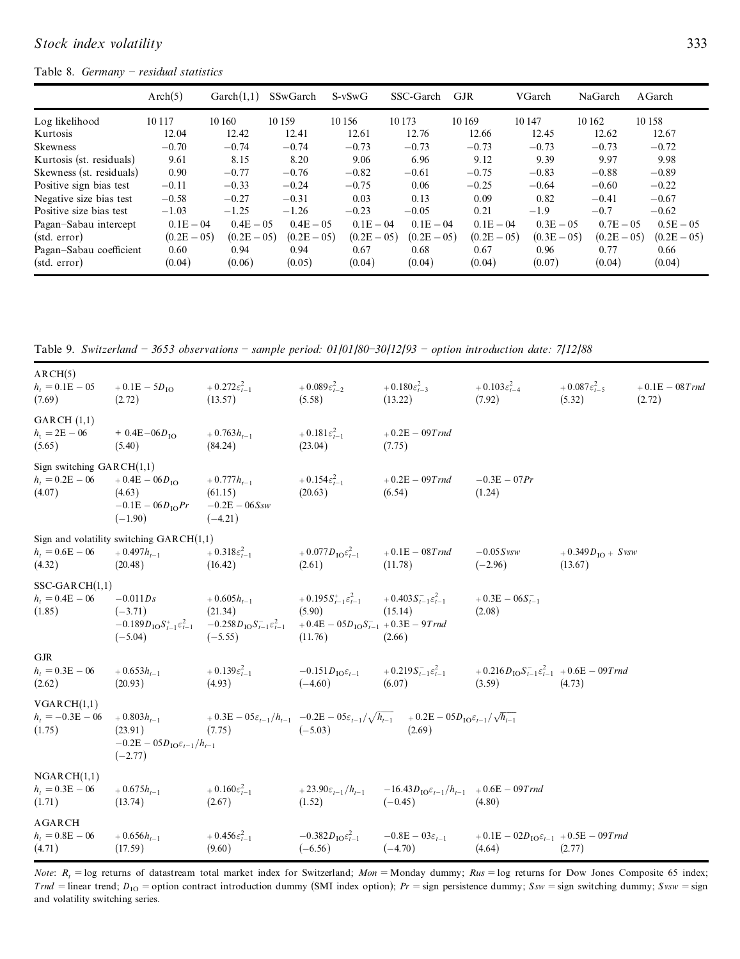#### Table 8. *Germany ± residual statistics*

|                          | Arch(5)       | Garch(1,1)    | SSwGarch      | $S-vSwG$      | SSC-Garch     | <b>GJR</b>    | VGarch         | NaGarch        | AGarch        |
|--------------------------|---------------|---------------|---------------|---------------|---------------|---------------|----------------|----------------|---------------|
| Log likelihood           | 10117         | 10 160        | 10 159        | 10 15 6       | 10 173        | 10 169        | 10147          | 10 162         | 10 158        |
| Kurtosis                 | 12.04         | 12.42         | 12.41         | 12.61         | 12.76         | 12.66         | 12.45          | 12.62          | 12.67         |
| <b>Skewness</b>          | $-0.70$       | $-0.74$       | $-0.74$       | $-0.73$       | $-0.73$       | $-0.73$       | $-0.73$        | $-0.73$        | $-0.72$       |
| Kurtosis (st. residuals) | 9.61          | 8.15          | 8.20          | 9.06          | 6.96          | 9.12          | 9.39           | 9.97           | 9.98          |
| Skewness (st. residuals) | 0.90          | $-0.77$       | $-0.76$       | $-0.82$       | $-0.61$       | $-0.75$       | $-0.83$        | $-0.88$        | $-0.89$       |
| Positive sign bias test  | $-0.11$       | $-0.33$       | $-0.24$       | $-0.75$       | 0.06          | $-0.25$       | $-0.64$        | $-0.60$        | $-0.22$       |
| Negative size bias test  | $-0.58$       | $-0.27$       | $-0.31$       | 0.03          | 0.13          | 0.09          | 0.82           | $-0.41$        | $-0.67$       |
| Positive size bias test  | $-1.03$       | $-1.25$       | $-1.26$       | $-0.23$       | $-0.05$       | 0.21          | $-1.9$         | $-0.7$         | $-0.62$       |
| Pagan-Sabau intercept    | $0.1E - 04$   | $0.4E - 0.5$  | $0.4E - 0.5$  | $0.1E - 0.4$  | $0.1E - 04$   | $0.1E - 04$   | $0.3E - 0.5$   | $0.7E - 0.5$   | $0.5E - 0.5$  |
| (stat. error)            | $(0.2E - 05)$ | $(0.2E - 05)$ | $(0.2E - 05)$ | $(0.2E - 05)$ | $(0.2E - 05)$ | $(0.2E - 05)$ | $(0.3E - 0.5)$ | $(0.2E - 0.5)$ | $(0.2E - 05)$ |
| Pagan-Sabau coefficient  | 0.60          | 0.94          | 0.94          | 0.67          | 0.68          | 0.67          | 0.96           | 0.77           | 0.66          |
| (stat. error)            | (0.04)        | (0.06)        | (0.05)        | (0.04)        | (0.04)        | (0.04)        | (0.07)         | (0.04)         | (0.04)        |

Table 9. *Switzerland ± 3653 observations ± sample period: 01/01/80±30/12/93 ± option introduction date: 7/12/88*

| ARCH(5)<br>$h_t = 0.1E - 05$<br>(7.69)                     | $+0.1E - 5D_{10}$<br>(2.72)                                                                   | + $0.272\varepsilon_{t-1}^2$<br>(13.57)                                                                                                      | + $0.089\varepsilon_{t-2}^2$<br>(5.58)                    | $+0.180\varepsilon_{t-3}^2$<br>(13.22)                                                                                                    | $+0.103\varepsilon_{t-4}^2$<br>(7.92)                                        | $+0.087\varepsilon_{t-5}^2$<br>(5.32)   | $+0.1E - 08$ Trnd<br>(2.72) |
|------------------------------------------------------------|-----------------------------------------------------------------------------------------------|----------------------------------------------------------------------------------------------------------------------------------------------|-----------------------------------------------------------|-------------------------------------------------------------------------------------------------------------------------------------------|------------------------------------------------------------------------------|-----------------------------------------|-----------------------------|
| GARCH(1,1)<br>$h_1 = 2E - 06$<br>(5.65)                    | $+ 0.4E - 06D_{10}$<br>(5.40)                                                                 | $+0.763h_{t-1}$<br>(84.24)                                                                                                                   | $+0.181\varepsilon_{t-1}^2$<br>(23.04)                    | $+0.2E - 09Trnd$<br>(7.75)                                                                                                                |                                                                              |                                         |                             |
| Sign switching $GARCH(1,1)$<br>$h_t = 0.2E - 06$<br>(4.07) | $+0.4E - 06D_{10}$<br>(4.63)<br>$-0.1E - 06D_{10}Pr$<br>$(-1.90)$                             | $+0.777h_{t-1}$<br>(61.15)<br>$-0.2E - 06Ssw$<br>$(-4.21)$                                                                                   | $+0.154\varepsilon_{t-1}^2$<br>(20.63)                    | $+0.2E - 09Trnd$<br>(6.54)                                                                                                                | $-0.3E - 07Pr$<br>(1.24)                                                     |                                         |                             |
| $h_t = 0.6E - 06$<br>(4.32)                                | Sign and volatility switching $GARCH(1,1)$<br>$+0.497h_{t-1}$<br>(20.48)                      | $+0.318\varepsilon_{t-1}^2$<br>(16.42)                                                                                                       | + $0.077D_{\rm IO}\varepsilon_{t-1}^2$<br>(2.61)          | $+0.1E - 08Trnd$<br>(11.78)                                                                                                               | $-0.05Svsw$<br>$(-2.96)$                                                     | $+0.349D_{\text{IO}} + Svsw$<br>(13.67) |                             |
| $SSC-GARCH(1,1)$<br>$h_t = 0.4E - 06$<br>(1.85)            | $-0.011Ds$<br>$(-3.71)$<br>$-0.189D_{\rm IO}S_{t-1}^+\varepsilon_{t-1}^2$<br>$(-5.04)$        | $+0.605h_{t-1}$<br>(21.34)<br>$-0.258D_{\text{IO}}S_{t-1}^2\varepsilon_{t-1}^2 + 0.4E - 05D_{\text{IO}}S_{t-1}^2 + 0.3E - 9Tmd$<br>$(-5.55)$ | $+0.195S_{t-1}^+\varepsilon_{t-1}^2$<br>(5.90)<br>(11.76) | $+0.403 S_{t-1}^{-} \varepsilon_{t-1}^2$<br>(15.14)<br>(2.66)                                                                             | $+0.3E - 06S_{t-1}$<br>(2.08)                                                |                                         |                             |
| <b>GJR</b><br>$h_t = 0.3E - 06$<br>(2.62)                  | $+0.653h_{t-1}$<br>(20.93)                                                                    | $+0.139\varepsilon_{t-1}^2$<br>(4.93)                                                                                                        | $-0.151D_{\text{IO}}\varepsilon_{t-1}$<br>$(-4.60)$       | $+0.219S_{t-1}^{-\epsilon_{t-1}^{2}}$<br>(6.07)                                                                                           | $+0.216D_{\text{IO}}S_{t-1}^-\varepsilon_{t-1}^2$ + 0.6E – 09T rnd<br>(3.59) | (4.73)                                  |                             |
| VGARCH(1,1)<br>$h_t = -0.3E - 06$<br>(1.75)                | $+0.803h_{t-1}$<br>(23.91)<br>$-0.2E - 05D_{\text{IO}}\varepsilon_{t-1}/h_{t-1}$<br>$(-2.77)$ | (7.75)                                                                                                                                       | $(-5.03)$                                                 | $+0.3E-05\varepsilon_{t-1}/h_{t-1}$ $-0.2E-05\varepsilon_{t-1}/\sqrt{h_{t-1}}$ $+0.2E-05D_{10}\varepsilon_{t-1}/\sqrt{h_{t-1}}$<br>(2.69) |                                                                              |                                         |                             |
| NGARCH(1,1)<br>$h_t = 0.3E - 06$<br>(1.71)                 | $+0.675h_{t-1}$<br>(13.74)                                                                    | $+0.160\varepsilon_{t-1}^2$<br>(2.67)                                                                                                        | $+23.90\varepsilon_{t-1}/h_{t-1}$<br>(1.52)               | $-16.43D_{\text{IO}}\varepsilon_{t-1}/h_{t-1}$ + 0.6E – 09T rnd<br>$(-0.45)$                                                              | (4.80)                                                                       |                                         |                             |
| AGARCH<br>$h_t = 0.8E - 06$<br>(4.71)                      | $+0.656h_{t-1}$<br>(17.59)                                                                    | $+0.456\varepsilon_{t-1}^2$<br>(9.60)                                                                                                        | $-0.382D_{\text{IO}}\varepsilon_{t-1}^2$<br>$(-6.56)$     | $-0.8E - 03\varepsilon_{t-1}$<br>$(-4.70)$                                                                                                | $+0.1E - 02D_{10}\varepsilon_{t-1}$ + 0.5E – 09T rnd<br>(4.64)               | (2.77)                                  |                             |

*Note*:  $R_t$  = log returns of datastream total market index for Switzerland;  $Mon =$ Monday dummy;  $Rus =$  log returns for Dow Jones Composite 65 index; *Trnd* = linear trend;  $D_{10}$  = option contract introduction dummy (SMI index option);  $Pr$  = sign persistence dummy;  $Ssw$  = sign switching dummy;  $Svw$  = sign and volatility switching series.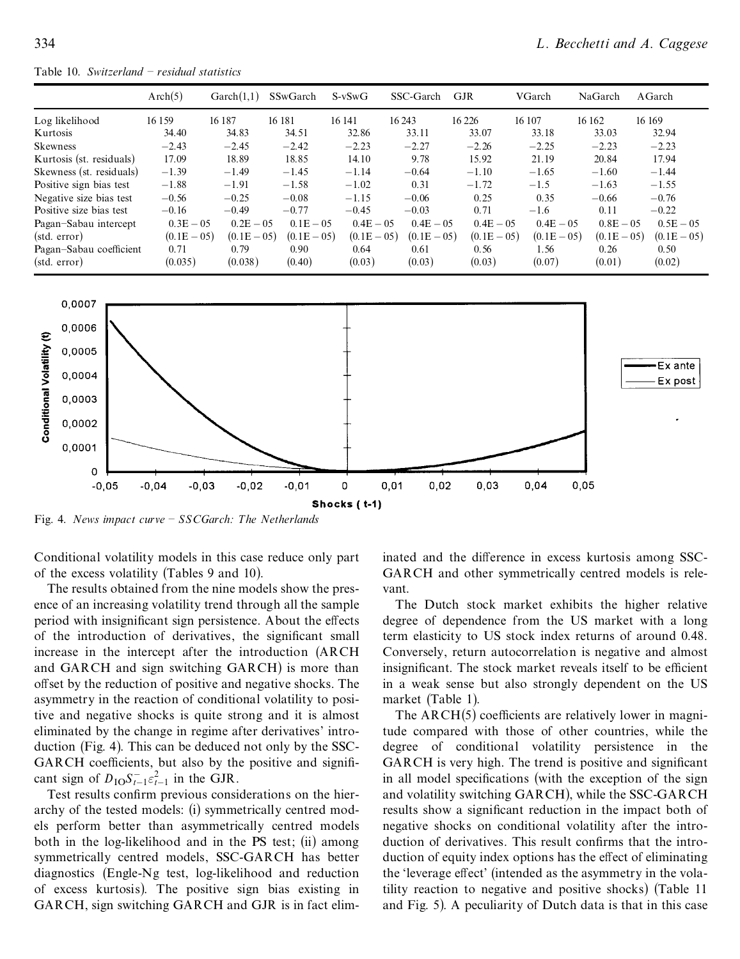Table 10. *Switzerland ± residual statistics*

|                          | Arch(5)        | $\text{Garch}(1,1)$ | SSwGarch       | $S-vSwG$      | SSC-Garch      | <b>GJR</b>    | VGarch         | NaGarch        | AGarch         |
|--------------------------|----------------|---------------------|----------------|---------------|----------------|---------------|----------------|----------------|----------------|
| Log likelihood           | 16 159         | 16 187              | 16 18 1        | 16 14 1       | 16 24 3        | 16 2 26       | 16 107         | 16 16 2        | 16 16 9        |
| Kurtosis                 | 34.40          | 34.83               | 34.51          | 32.86         | 33.11          | 33.07         | 33.18          | 33.03          | 32.94          |
| <b>Skewness</b>          | $-2.43$        | $-2.45$             | $-2.42$        | $-2.23$       | $-2.27$        | $-2.26$       | $-2.25$        | $-2.23$        | $-2.23$        |
| Kurtosis (st. residuals) | 17.09          | 18.89               | 18.85          | 14.10         | 9.78           | 15.92         | 21.19          | 20.84          | 17.94          |
| Skewness (st. residuals) | $-1.39$        | $-1.49$             | $-1.45$        | $-1.14$       | $-0.64$        | $-1.10$       | $-1.65$        | $-1.60$        | $-1.44$        |
| Positive sign bias test  | $-1.88$        | $-1.91$             | $-1.58$        | $-1.02$       | 0.31           | $-1.72$       | $-1.5$         | $-1.63$        | $-1.55$        |
| Negative size bias test  | $-0.56$        | $-0.25$             | $-0.08$        | $-1.15$       | $-0.06$        | 0.25          | 0.35           | $-0.66$        | $-0.76$        |
| Positive size bias test  | $-0.16$        | $-0.49$             | $-0.77$        | $-0.45$       | $-0.03$        | 0.71          | $-1.6$         | 0.11           | $-0.22$        |
| Pagan-Sabau intercept    | $0.3E - 0.5$   | $0.2E - 0.5$        | $0.1E - 0.5$   | $0.4E - 0.5$  | $0.4E - 0.5$   | $0.4E - 0.5$  | $0.4E - 0.5$   | $0.8E - 0.5$   | $0.5E - 05$    |
| (stat. error)            | $(0.1E - 0.5)$ | $(0.1E - 0.5)$      | $(0.1E - 0.5)$ | $(0.1E - 05)$ | $(0.1E - 0.5)$ | $(0.1E - 05)$ | $(0.1E - 0.5)$ | $(0.1E - 0.5)$ | $(0.1E - 0.5)$ |
| Pagan-Sabau coefficient  | 0.71           | 0.79                | 0.90           | 0.64          | 0.61           | 0.56          | 1.56           | 0.26           | 0.50           |
| (stat. error)            | (0.035)        | (0.038)             | (0.40)         | (0.03)        | (0.03)         | (0.03)        | (0.07)         | (0.01)         | (0.02)         |



Fig. 4. *News impact curve ± SSCGarch: The Netherlands*

Conditional volatility models in this case reduce only part of the excess volatility (Tables 9 and 10).

The results obtained from the nine models show the pres ence of an increasing volatility trend through all the sample period with insignificant sign persistence. About the effects of the introduction of derivatives, the significant small increase in the intercept after the introduction (ARCH and GARCH and sign switching GARCH) is more than offset by the reduction of positive and negative shocks. The asymmetry in the reaction of conditional volatility to positive and negative shocks is quite strong and it is almost eliminated by the change in regime after derivatives' intro duction (Fig. 4). This can be deduced not only by the SSC- GARCH coefficients, but also by the positive and significant sign of  $D_{\text{IO}} S_{t-1}^{-} \varepsilon_{t-1}^2$  in the GJR.

Test results confirm previous considerations on the hierarchy of the tested models: (i) symmetrically centred mod els perform better than asymmetrically centred models both in the log-likelihood and in the PS test; (ii) among symmetrically centred models, SSC-GARCH has better diagnostics (Engle-Ng test, log-likelihood and reduction of excess kurtosis). The positive sign bias existing in GARCH, sign switching GARCH and GJR is in fact eliminated and the difference in excess kurtosis among SSC-GARCH and other symmetrically centred models is rele vant.

The Dutch stock market exhibits the higher relative degree of dependence from the US market with a long term elasticity to US stock index returns of around 0.48. Conversely, return autocorrelation is negative and almost insignificant. The stock market reveals itself to be efficient in a weak sense but also strongly dependent on the US market (Table 1).

The  $ARCH(5)$  coefficients are relatively lower in magnitude compared with those of other countries, while the degree of conditional volatility persistence in the GARCH is very high. The trend is positive and significant in all model specifications (with the exception of the sign and volatility switching GARCH), while the SSC-GARCH results show a significant reduction in the impact both of negative shocks on conditional volatility after the intro duction of derivatives. This result confirms that the introduction of equity index options has the effect of eliminating the 'leverage effect' (intended as the asymmetry in the volatility reaction to negative and positive shocks) (Table 11 and Fig. 5). A peculiarity of Dutch data is that in this case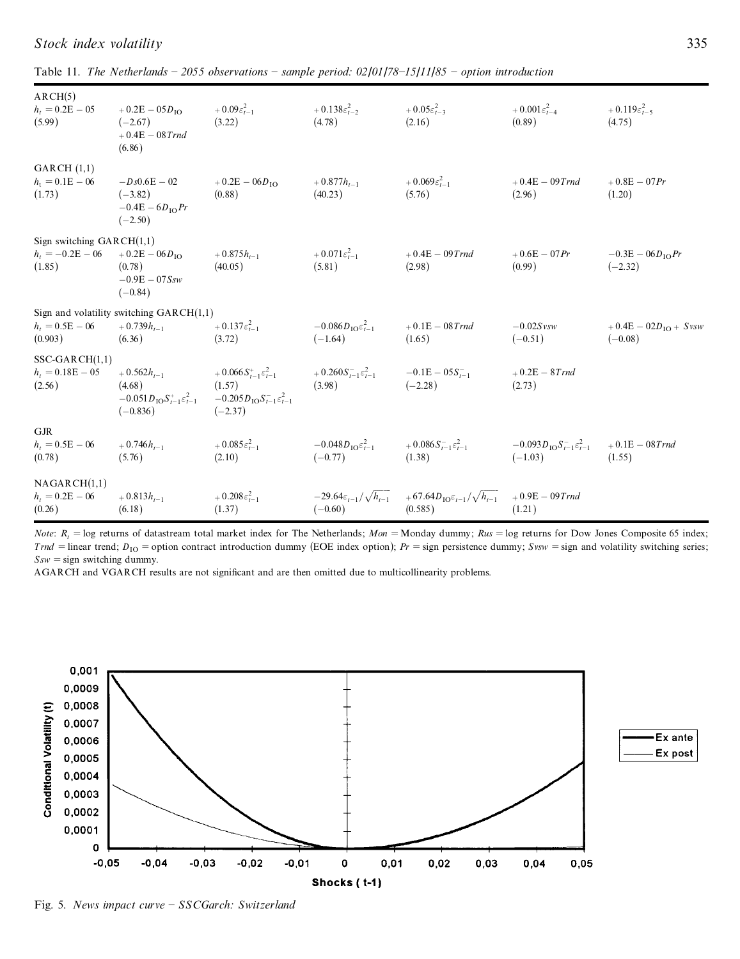| ARCH(5)<br>$h_t = 0.2E - 05$<br>(5.99)                                        | $+0.2E - 05D_{10}$<br>$(-2.67)$<br>$+0.4E - 08$ Trnd<br>(6.86)                            | $+0.09\varepsilon_{t-1}^2$<br>(3.22)                                                                                                                   | + $0.138\varepsilon_{t-2}^2$<br>(4.78)             | $+0.05\varepsilon_{t-3}^2$<br>(2.16)                                                                              | $+ 0.001 \varepsilon_{t-4}^2$<br>(0.89)                        | $+0.119\varepsilon_{t-5}^2$<br>(4.75)  |
|-------------------------------------------------------------------------------|-------------------------------------------------------------------------------------------|--------------------------------------------------------------------------------------------------------------------------------------------------------|----------------------------------------------------|-------------------------------------------------------------------------------------------------------------------|----------------------------------------------------------------|----------------------------------------|
| GARCH(1,1)<br>$h_t = 0.1E - 06$<br>(1.73)                                     | $-Ds0.6E - 02$<br>$(-3.82)$<br>$-0.4E - 6D10Pr$<br>$(-2.50)$                              | $+0.2E - 06D_{10}$<br>(0.88)                                                                                                                           | $+0.877h_{t-1}$<br>(40.23)                         | $+0.069\varepsilon_{t-1}^2$<br>(5.76)                                                                             | $+0.4E - 09Trnd$<br>(2.96)                                     | $+0.8E - 07Pr$<br>(1.20)               |
| Sign switching $GARCH(1,1)$<br>$h_t = -0.2E - 06 + 0.2E - 06D_{10}$<br>(1.85) | (0.78)<br>$-0.9E - 07Ssw$<br>$(-0.84)$                                                    | $+0.875h_{t-1}$<br>(40.05)                                                                                                                             | $+0.071\varepsilon_{t-1}^2$<br>(5.81)              | $+0.4E - 09Trnd$<br>(2.98)                                                                                        | $+0.6E - 07 Pr$<br>(0.99)                                      | $-0.3E - 06D_{10}Pr$<br>$(-2.32)$      |
| $h_t = 0.5E - 06$<br>(0.903)                                                  | Sign and volatility switching $GARCH(1,1)$<br>$+0.739h_{t-1}$<br>(6.36)                   | $+0.137\varepsilon_{t-1}^2$<br>(3.72)                                                                                                                  | $-0.086D_{\rm IO}\varepsilon_{t-1}^2$<br>$(-1.64)$ | $+0.1E - 08Trnd$<br>(1.65)                                                                                        | $-0.02S$ <sub>vsw</sub><br>$(-0.51)$                           | $+0.4E - 02D_{10} + Svsw$<br>$(-0.08)$ |
| $SSC-GARCH(1,1)$<br>$h_t = 0.18E - 05$<br>(2.56)                              | $+0.562h_{t-1}$<br>(4.68)<br>$-0.051D_{\rm IO}S_{t-1}^+\varepsilon_{t-1}^2$<br>$(-0.836)$ | $+0.066 S_{t-1}^+ \varepsilon_{t-1}^2$ $+ 0.260 S_{t-1}^- \varepsilon_{t-1}^2$<br>(1.57)<br>$-0.205D_{\rm IO}S_{t-1}^{-\epsilon_{t-1}^2}$<br>$(-2.37)$ | (3.98)                                             | $-0.1E - 0.5S_{t-1}$<br>$(-2.28)$                                                                                 | $+0.2E - 8T$ rnd<br>(2.73)                                     |                                        |
| <b>GJR</b><br>$h_t = 0.5E - 06$<br>(0.78)                                     | $+0.746h_{t-1}$<br>(5.76)                                                                 | $+0.085\varepsilon_{t-1}^2$<br>(2.10)                                                                                                                  | $-0.048D_{10}\varepsilon_{t=1}^2$<br>$(-0.77)$     | $+0.086 S_{t-1}^{-} \varepsilon_{t-1}^2$<br>(1.38)                                                                | $-0.093D_{\text{IO}}S_{t-1}^-\varepsilon_{t-1}^2$<br>$(-1.03)$ | $+0.1E - 08T$ rnd<br>(1.55)            |
| NAGARCH(1,1)<br>$h_t = 0.2E - 06$<br>(0.26)                                   | $+0.813h_{t-1}$<br>(6.18)                                                                 | $+0.208\varepsilon_{t-1}^2$<br>(1.37)                                                                                                                  | $(-0.60)$                                          | $-29.64\varepsilon_{t-1}/\sqrt{h_{t-1}}$ $+67.64D_{10}\varepsilon_{t-1}/\sqrt{h_{t-1}}$ $+0.9E-09Trnd$<br>(0.585) | (1.21)                                                         |                                        |

*Stock index volatility* 335

| Table 11. The Netherlands – 2055 observations – sample period: $02/01/78-15/11/85$ – option introduction |  |
|----------------------------------------------------------------------------------------------------------|--|
|----------------------------------------------------------------------------------------------------------|--|

*Note*:  $R_t$  = log returns of datastream total market index for The Netherlands; *Mon* = Monday dummy; *Rus* = log returns for Dow Jones Composite 65 index; *Trnd* = linear trend; *D*<sub>IO</sub> = option contract introduction dummy (EOE index option); *Pr* = sign persistence dummy; *Svsw* = sign and volatility switching series;  $Ssw = sign$  switching dummy.

AGARCH and VGARCH results are not significant and are then omitted due to multicollinearity problems.



Fig. 5. *News impact curve ± SSCGarch: Switzerland*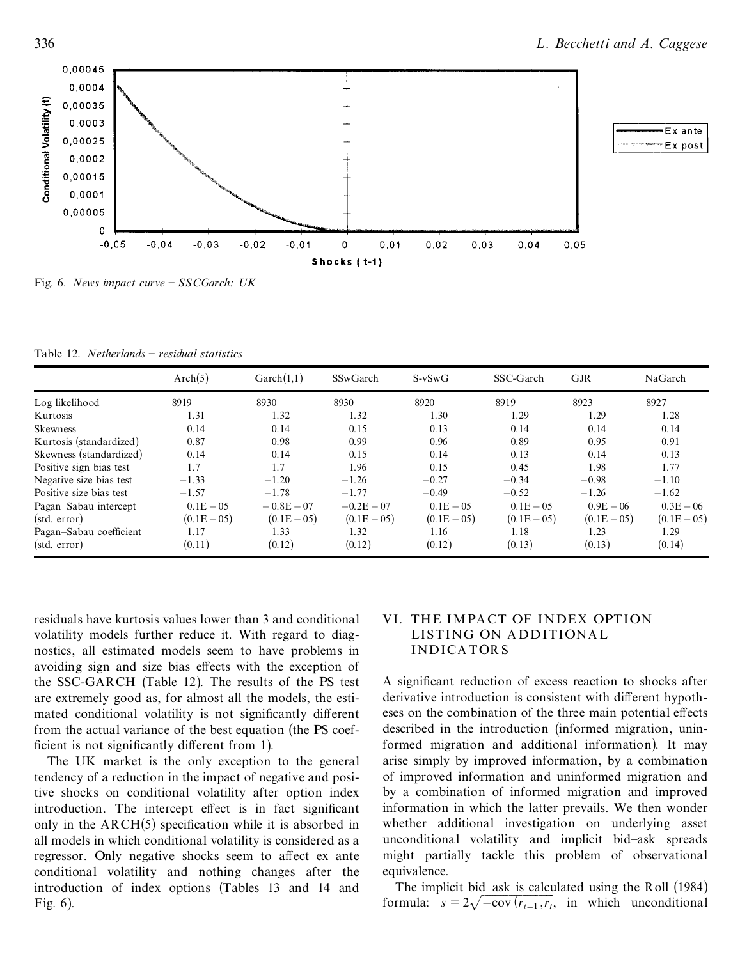

Fig. 6. *News impact curve ± SSCGarch: UK*

Table 12. *Netherlands ± residual statistics*

|                         | Arch(5)        | $\text{Garch}(1,1)$ | <b>SSwGarch</b> | $S-vSwG$       | SSC-Garch      | <b>GJR</b>     | NaGarch       |
|-------------------------|----------------|---------------------|-----------------|----------------|----------------|----------------|---------------|
| Log likelihood          | 8919           | 8930                | 8930            | 8920           | 8919           | 8923           | 8927          |
| Kurtosis                | 1.31           | 1.32                | 1.32            | 1.30           | 1.29           | 1.29           | 1.28          |
| Skewness                | 0.14           | 0.14                | 0.15            | 0.13           | 0.14           | 0.14           | 0.14          |
| Kurtosis (standardized) | 0.87           | 0.98                | 0.99            | 0.96           | 0.89           | 0.95           | 0.91          |
| Skewness (standardized) | 0.14           | 0.14                | 0.15            | 0.14           | 0.13           | 0.14           | 0.13          |
| Positive sign bias test | 1.7            | 1.7                 | 1.96            | 0.15           | 0.45           | 1.98           | 1.77          |
| Negative size bias test | $-1.33$        | $-1.20$             | $-1.26$         | $-0.27$        | $-0.34$        | $-0.98$        | $-1.10$       |
| Positive size bias test | $-1.57$        | $-1.78$             | $-1.77$         | $-0.49$        | $-0.52$        | $-1.26$        | $-1.62$       |
| Pagan-Sabau intercept   | $0.1E - 0.5$   | $-0.8E - 07$        | $-0.2E - 07$    | $0.1E - 0.5$   | $0.1E - 0.5$   | $0.9E - 06$    | $0.3E - 06$   |
| (stat. error)           | $(0.1E - 0.5)$ | $(0.1E - 0.5)$      | $(0.1E - 0.5)$  | $(0.1E - 0.5)$ | $(0.1E - 0.5)$ | $(0.1E - 0.5)$ | $(0.1E - 05)$ |
| Pagan-Sabau coefficient | 1.17           | 1.33                | 1.32            | 1.16           | 1.18           | 1.23           | 1.29          |
| (stat. error)           | (0.11)         | (0.12)              | (0.12)          | (0.12)         | (0.13)         | (0.13)         | (0.14)        |

residuals have kurtosis values lower than 3 and conditional volatility models further reduce it. With regard to diag nostics, all estimated models seem to have problems in avoiding sign and size bias effects with the exception of the SSC-GARCH (Table 12). The results of the PS test are extremely good as, for almost all the models, the esti mated conditional volatility is not significantly different from the actual variance of the best equation (the PS coef ficient is not significantly different from 1).

The UK market is the only exception to the general tendency of a reduction in the impact of negative and positive shocks on conditional volatility after option index introduction. The intercept effect is in fact significant only in the  $ARCH(5)$  specification while it is absorbed in all models in which conditional volatility is considered as a regressor. Only negative shocks seem to affect ex ante conditional volatility and nothing changes after the introduction of index options (Tables 13 and 14 and Fig. 6).

## VI. THE IMPA CT OF INDEX OPTION LISTING ON A DDITIONA L INDICA TOR S

A significant reduction of excess reaction to shocks after derivative introduction is consistent with different hypotheses on the combination of the three main potential effects described in the introduction (informed migration, uninformed migration and additional information). It may arise simply by improved information, by a combination of improved information and uninformed migration and by a combination of informed migration and improved information in which the latter prevails. We then wonder whether additional investigation on underlying asset unconditional volatility and implicit bid-ask spreads might partially tackle this problem of observational equivalence.

The implicit bid-ask is calculated using the Roll (1984) formula:  $s = 2\sqrt{-\text{cov}(r_{t-1}, r_t)}$ , in which unconditional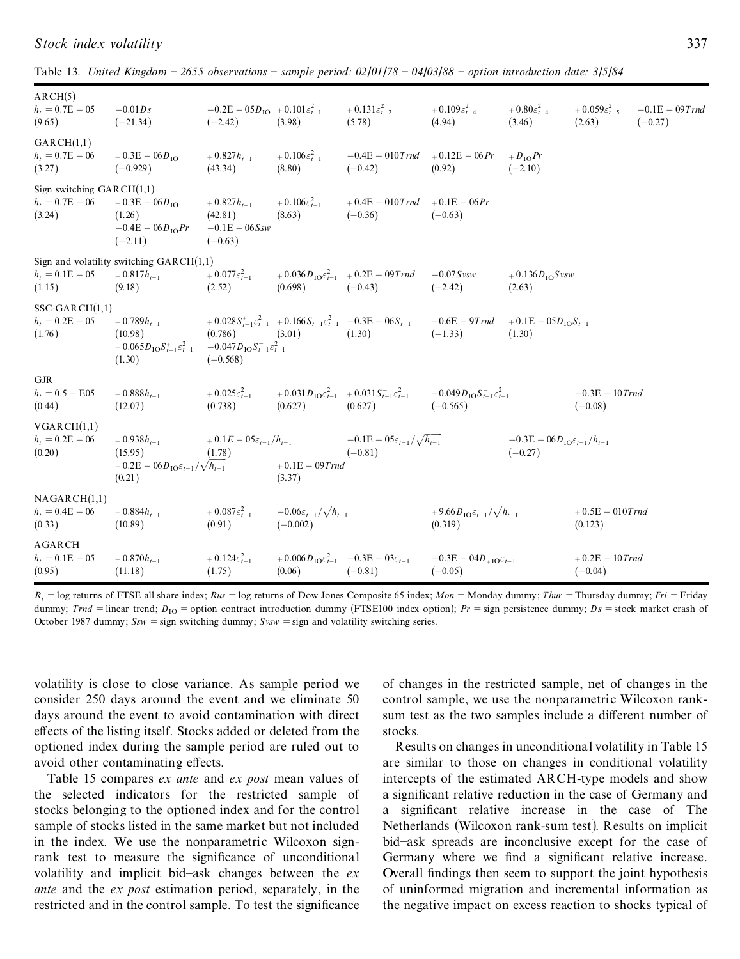| Stock index volatility | $\bigcap$ |
|------------------------|-----------|
|------------------------|-----------|

Table 13. United Kingdom – 2655 observations – sample period:  $02/01/78 - 04/03/88$  – option introduction date: 3/5/84

| AGARCH<br>$h_t = 0.1E - 05$<br>(0.95)                      | $+0.870h_{t-1}$<br>(11.18)                                                                                                                 | $+0.124\varepsilon_{t-1}^2$<br>(1.75)                              | (0.06)                                                | $+0.006 D_{\text{IO}} \varepsilon_{t-1}^2 -0.3E - 03\varepsilon_{t-1}$<br>$(-0.81)$                                               | $-0.3E - 04D_{+10}\varepsilon_{t-1}$<br>$(-0.05)$               |                                                          | $+0.2E - 10$ Trnd<br>$(-0.04)$        |                                |
|------------------------------------------------------------|--------------------------------------------------------------------------------------------------------------------------------------------|--------------------------------------------------------------------|-------------------------------------------------------|-----------------------------------------------------------------------------------------------------------------------------------|-----------------------------------------------------------------|----------------------------------------------------------|---------------------------------------|--------------------------------|
| NAGARCH(1,1)<br>$h_t = 0.4E - 06$<br>(0.33)                | $+0.884h_{t-1}$<br>(10.89)                                                                                                                 | $+0.087\varepsilon_{t-1}^2$<br>(0.91)                              | $-0.06\varepsilon_{t-1}/\sqrt{h_{t-1}}$<br>$(-0.002)$ |                                                                                                                                   | $+9.66D_{\text{IO}}\varepsilon_{t-1}/\sqrt{h_{t-1}}$<br>(0.319) |                                                          | $+0.5E - 010T$ rnd<br>(0.123)         |                                |
| VGARCH(1,1)<br>$h_t = 0.2E - 06$<br>(0.20)                 | $+0.938h_{t-1}$<br>(15.95)<br>$+0.2E - 06D_{\text{IO}}\varepsilon_{t-1}/\sqrt{h_{t-1}}$<br>(0.21)                                          | $+0.1E-0.5\varepsilon_{t-1}/h_{t-1}$<br>(1.78)                     | $+0.1E - 09Trnd$<br>(3.37)                            | $-0.1E - 05\varepsilon_{t-1}/\sqrt{h_{t-1}}$<br>$(-0.81)$                                                                         |                                                                 | $-0.3E - 06D_{10}\varepsilon_{t-1}/h_{t-1}$<br>$(-0.27)$ |                                       |                                |
| <b>GJR</b><br>$h_t = 0.5 - E05$<br>(0.44)                  | $+0.888h_{t-1}$<br>(12.07)                                                                                                                 | $+0.025\varepsilon_{t-1}^2$<br>(0.738)                             | (0.627)                                               | $+0.031D_{\text{IO}}\epsilon_{t-1}^2$ $+0.031S_{t-1}^2\epsilon_{t-1}^2$ $-0.049D_{\text{IO}}S_{t-1}^2\epsilon_{t-1}^2$<br>(0.627) | $(-0.565)$                                                      |                                                          | $-0.3E - 10$ Trnd<br>$(-0.08)$        |                                |
| $SSC-GARCH(1,1)$<br>$h_t = 0.2E - 05$<br>(1.76)            | $+0.789h_{t-1}$<br>(10.98)<br>$+ 0.065D_{\text{IO}}S_{t-1}^2\varepsilon_{t-1}^2 -0.047D_{\text{IO}}S_{t-1}^2\varepsilon_{t-1}^2$<br>(1.30) | $(0.786)$ $(3.01)$<br>$(-0.568)$                                   |                                                       | $+0.028S_{t-1}^* \varepsilon_{t-1}^2$ $+0.166S_{t-1}^* \varepsilon_{t-1}^2$ $-0.3E - 06S_{t-1}^ -0.6E - 9Trnd$<br>(1.30)          | $(-1.33)$                                                       | $+0.1E - 05DIOSt-1$<br>(1.30)                            |                                       |                                |
| $h_t = 0.1E - 05$<br>(1.15)                                | Sign and volatility switching $GARCH(1,1)$<br>$+0.817h_{t-1}$<br>(9.18)                                                                    | $+0.077\varepsilon_{t-1}^2$<br>(2.52)                              | (0.698)                                               | $+0.036 D_{\text{IO}} \varepsilon_{t-1}^2$ $+0.2E - 09Trnd$ $-0.07S$ vsw<br>$(-0.43)$                                             | $(-2.42)$                                                       | $+0.136D_{\text{IO}}S$ vsw<br>(2.63)                     |                                       |                                |
| Sign switching $GARCH(1,1)$<br>$h_t = 0.7E - 06$<br>(3.24) | $+0.3E - 06D_{10}$<br>(1.26)<br>$-0.4E - 06D_{\text{IO}}Pr$<br>$(-2.11)$                                                                   | $+0.827h_{t-1}$<br>(42.81)<br>$-0.1E - 06Ssw$<br>$(-0.63)$         | $+0.106\varepsilon_{t-1}^2$<br>(8.63)                 | $+0.4E - 010$ Trnd $+0.1E - 06$ Pr<br>$(-0.36)$                                                                                   | $(-0.63)$                                                       |                                                          |                                       |                                |
| GARCH(1,1)<br>$h_t = 0.7E - 06$<br>(3.27)                  | $+0.3E - 06D_{\text{IO}}$<br>$(-0.929)$                                                                                                    | $+0.827h_{t-1}$<br>(43.34)                                         | $+0.106\varepsilon_{t-1}^2$<br>(8.80)                 | $-0.4E - 010$ Trnd $+0.12E - 06$ Pr<br>$(-0.42)$                                                                                  | (0.92)                                                          | $+D_{\rm IO}Pr$<br>$(-2.10)$                             |                                       |                                |
| ARCH(5)<br>$h_t = 0.7E - 05$<br>(9.65)                     | $-0.01Ds$<br>$(-21.34)$                                                                                                                    | $-0.2E - 05D_{\text{IO}} + 0.101 \varepsilon_{t-1}^2$<br>$(-2.42)$ | (3.98)                                                | $+ 0.131 \varepsilon_{t-2}^2 + 0.109 \varepsilon_{t-4}^2$<br>(5.78)                                                               | (4.94)                                                          | $+0.80\varepsilon_{t-4}^2$<br>(3.46)                     | $+0.059\varepsilon_{t-5}^2$<br>(2.63) | $-0.1E - 09T$ rnd<br>$(-0.27)$ |

 $R_t$  = log returns of FTSE all share index;  $Rus$  = log returns of Dow Jones Composite 65 index;  $Mon$  = Monday dummy;  $Thur$  = Thursday dummy;  $Fri$  = Friday dummy; *Trnd* = linear trend;  $D_{10}$  = option contract introduction dummy (FTSE100 index option);  $Pr$  = sign persistence dummy;  $Ds$  = stock market crash of October 1987 dummy;  $Ssw =$  sign switching dummy;  $Svsw =$  sign and volatility switching series.

volatility is close to close variance. As sample period we consider 250 days around the event and we eliminate 50 days around the event to avoid contamination with direct effects of the listing itself. Stocks added or deleted from the optioned index during the sample period are ruled out to avoid other contaminating effects.

Table 15 compares *ex ante* and *ex post* mean values of the selected indicators for the restricted sample of stocks belonging to the optioned index and for the control sample of stocks listed in the same market but not included in the index. We use the nonparametric Wilcoxon signrank test to measure the significance of unconditional volatility and implicit bid-ask changes between the *ex ante* and the *ex post* estimation period, separately, in the restricted and in the control sample. To test the significance

of changes in the restricted sample, net of changes in the control sample, we use the nonparametric Wilcoxon ranksum test as the two samples include a different number of stocks.

Results on changes in unconditional volatility in Table 15 are similar to those on changes in conditional volatility intercepts of the estimated ARCH-type models and show a significant relative reduction in the case of Germany and a significant relative increase in the case of The Netherlands (Wilcoxon rank-sum test). Results on implicit bid-ask spreads are inconclusive except for the case of Germany where we find a significant relative increase. Overall findings then seem to support the joint hypothesis of uninformed migration and incremental information as the negative impact on excess reaction to shocks typical of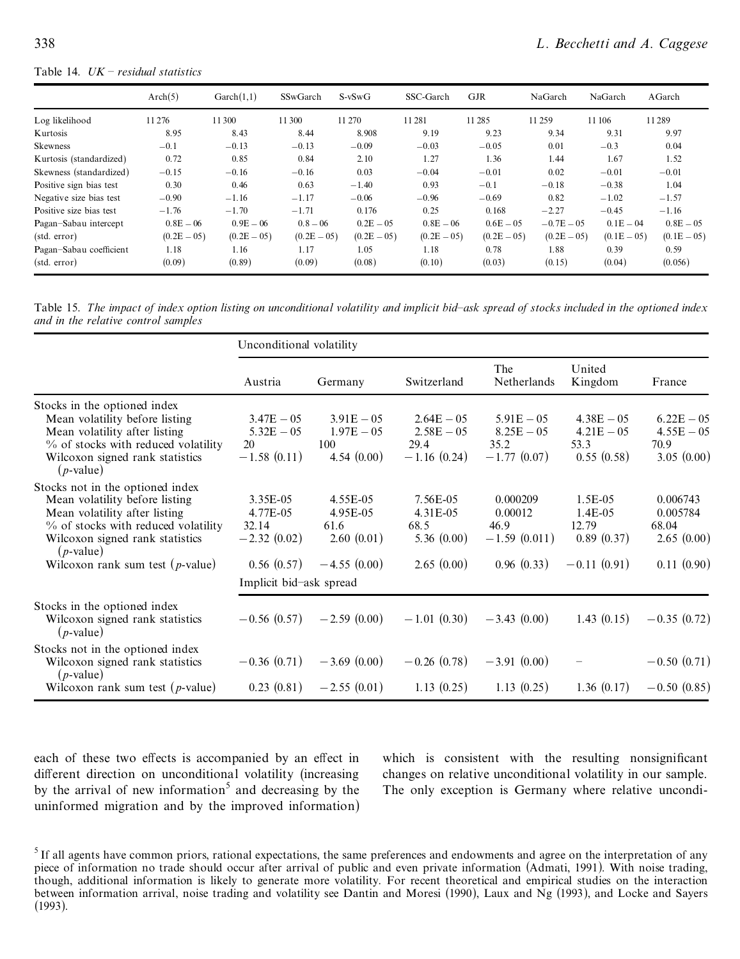#### Table 14. *UK ± residual statistics*

|                         | Arch(5)       | $\text{Garch}(1,1)$ | SSwGarch      | $S-vSwG$      | SSC-Garch     | <b>GJR</b>     | NaGarch       | NaGarch        | AGarch        |
|-------------------------|---------------|---------------------|---------------|---------------|---------------|----------------|---------------|----------------|---------------|
| Log likelihood          | 11 276        | 11 300              | 11 300        | 11 270        | 11 281        | 11 28 5        | 11 259        | 11 10 6        | 11289         |
| Kurtosis                | 8.95          | 8.43                | 8.44          | 8.908         | 9.19          | 9.23           | 9.34          | 9.31           | 9.97          |
| <b>Skewness</b>         | $-0.1$        | $-0.13$             | $-0.13$       | $-0.09$       | $-0.03$       | $-0.05$        | 0.01          | $-0.3$         | 0.04          |
| Kurtosis (standardized) | 0.72          | 0.85                | 0.84          | 2.10          | 1.27          | 1.36           | 1.44          | 1.67           | 1.52          |
| Skewness (standardized) | $-0.15$       | $-0.16$             | $-0.16$       | 0.03          | $-0.04$       | $-0.01$        | 0.02          | $-0.01$        | $-0.01$       |
| Positive sign bias test | 0.30          | 0.46                | 0.63          | $-1.40$       | 0.93          | $-0.1$         | $-0.18$       | $-0.38$        | 1.04          |
| Negative size bias test | $-0.90$       | $-1.16$             | $-1.17$       | $-0.06$       | $-0.96$       | $-0.69$        | 0.82          | $-1.02$        | $-1.57$       |
| Positive size bias test | $-1.76$       | $-1.70$             | $-1.71$       | 0.176         | 0.25          | 0.168          | $-2.27$       | $-0.45$        | $-1.16$       |
| Pagan-Sabau intercept   | $0.8E - 06$   | $0.9E - 06$         | $0.8 - 06$    | $0.2E - 05$   | $0.8E - 06$   | $0.6E - 0.5$   | $-0.7E - 0.5$ | $0.1E - 04$    | $0.8E - 0.5$  |
| (stat. error)           | $(0.2E - 05)$ | $(0.2E - 05)$       | $(0.2E - 05)$ | $(0.2E - 05)$ | $(0.2E - 05)$ | $(0.2E - 0.5)$ | $(0.2E - 05)$ | $(0.1E - 0.5)$ | $(0.1E - 05)$ |
| Pagan-Sabau coefficient | 1.18          | 1.16                | 1.17          | 1.05          | 1.18          | 0.78           | 1.88          | 0.39           | 0.59          |
| (stat. error)           | (0.09)        | (0.89)              | (0.09)        | (0.08)        | (0.10)        | (0.03)         | (0.15)        | (0.04)         | (0.056)       |

Table 15. The impact of index option listing on unconditional volatility and implicit bid-ask spread of stocks included in the optioned index *and in the relative control samples*

|                                                 | Unconditional volatility |               |               |                    |                   |               |  |  |  |
|-------------------------------------------------|--------------------------|---------------|---------------|--------------------|-------------------|---------------|--|--|--|
|                                                 | Austria                  | Germany       | Switzerland   | The<br>Netherlands | United<br>Kingdom | France        |  |  |  |
| Stocks in the optioned index                    |                          |               |               |                    |                   |               |  |  |  |
| Mean volatility before listing                  | $3.47E - 05$             | $3.91E - 05$  | $2.64E - 05$  | $5.91E - 05$       | $4.38E - 05$      | $6.22E - 05$  |  |  |  |
| Mean volatility after listing                   | $5.32E - 05$             | $1.97E - 05$  | $2.58E - 05$  | $8.25E - 05$       | $4.21E - 05$      | $4.55E - 05$  |  |  |  |
| $\%$ of stocks with reduced volatility          | 20                       | 100           | 29.4          | 35.2               | 53.3              | 70.9          |  |  |  |
| Wilcoxon signed rank statistics<br>$(p$ -value) | $-1.58(0.11)$            | 4.54(0.00)    | $-1.16(0.24)$ | $-1.77(0.07)$      | 0.55(0.58)        | 3.05(0.00)    |  |  |  |
| Stocks not in the optioned index                |                          |               |               |                    |                   |               |  |  |  |
| Mean volatility before listing                  | 3.35E-05                 | 4.55E-05      | 7.56E-05      | 0.000209           | 1.5E-05           | 0.006743      |  |  |  |
| Mean volatility after listing                   | 4.77E-05                 | 4.95E-05      | 4.31E-05      | 0.00012            | $1.4E-0.5$        | 0.005784      |  |  |  |
| % of stocks with reduced volatility             | 32.14                    | 61.6          | 68.5          | 46.9               | 12.79             | 68.04         |  |  |  |
| Wilcoxon signed rank statistics<br>$(p$ -value) | $-2.32(0.02)$            | 2.60(0.01)    | 5.36(0.00)    | $-1.59(0.011)$     | 0.89(0.37)        | 2.65(0.00)    |  |  |  |
| Wilcoxon rank sum test $(p$ -value)             | 0.56(0.57)               | $-4.55(0.00)$ | 2.65(0.00)    | 0.96(0.33)         | $-0.11(0.91)$     | 0.11(0.90)    |  |  |  |
|                                                 | Implicit bid-ask spread  |               |               |                    |                   |               |  |  |  |
| Stocks in the optioned index                    |                          |               |               |                    |                   |               |  |  |  |
| Wilcoxon signed rank statistics<br>$(p$ -value) | $-0.56(0.57)$            | $-2.59(0.00)$ | $-1.01(0.30)$ | $-3.43(0.00)$      | 1.43(0.15)        | $-0.35(0.72)$ |  |  |  |
| Stocks not in the optioned index                |                          |               |               |                    |                   |               |  |  |  |
| Wilcoxon signed rank statistics<br>$(p$ -value) | $-0.36(0.71)$            | $-3.69(0.00)$ | $-0.26(0.78)$ | $-3.91(0.00)$      |                   | $-0.50(0.71)$ |  |  |  |
| Wilcoxon rank sum test $(p$ -value)             | 0.23(0.81)               | $-2.55(0.01)$ | 1.13(0.25)    | 1.13(0.25)         | 1.36(0.17)        | $-0.50(0.85)$ |  |  |  |

each of these two effects is accompanied by an effect in different direction on unconditional volatility (increasing by the arrival of new information<sup>5</sup> and decreasing by the uninformed migration and by the improved information)

which is consistent with the resulting nonsignificant changes on relative unconditional volatility in our sample. The only exception is Germany where relative uncondi-

 $<sup>5</sup>$  If all agents have common priors, rational expectations, the same preferences and endowments and agree on the interpretation of any</sup> piece of information no trade should occur after arrival of public and even private information (Admati, 1991). With noise trading, though, additional information is likely to generate more volatility. For recent theoretical and empirical studies on the interaction between information arrival, noise trading and volatility see Dantin and Moresi (1990), Laux and Ng (1993), and Locke and Sayers (1993).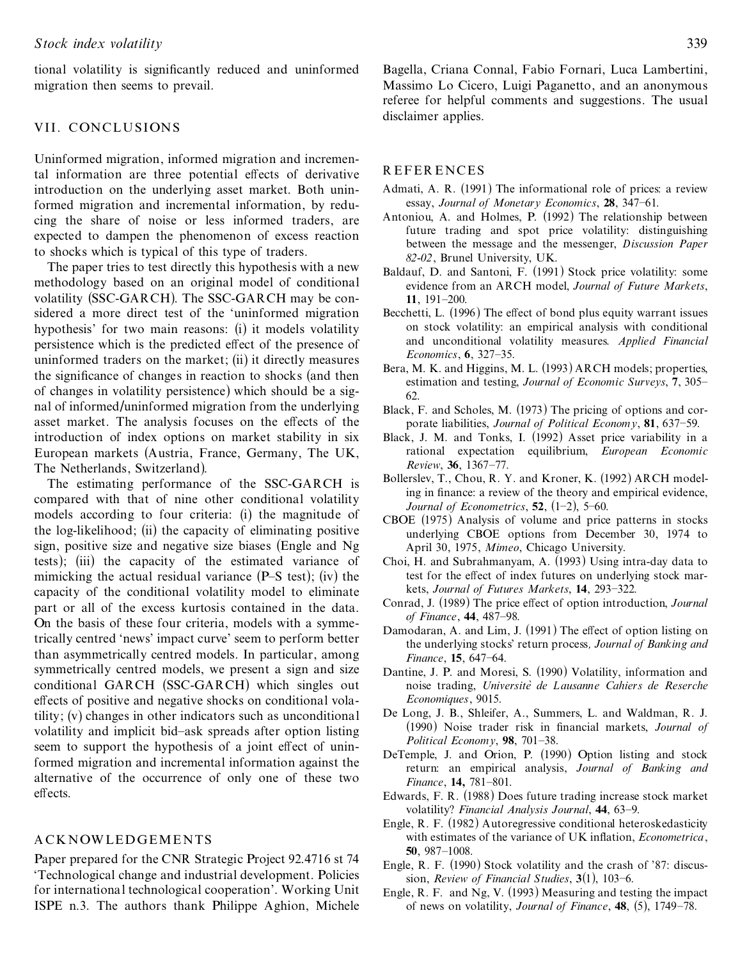tional volatility is significantly reduced and uninformed migration then seems to prevail.

## VII. CONCLUSIONS

Uninformed migration, informed migration and incremental information are three potential effects of derivative introduction on the underlying asset market. Both uninformed migration and incremental information, by redu cing the share of noise or less informed traders, are expected to dampen the phenomenon of excess reaction to shocks which is typical of this type of traders.

The paper tries to test directly this hypothesis with a new methodology based on an original model of conditional volatility (SSC-GARCH). The SSC-GARCH may be con sidered a more direct test of the `uninformed migration hypothesis' for two main reasons: (i) it models volatility persistence which is the predicted effect of the presence of uninformed traders on the market; (ii) it directly measures the significance of changes in reaction to shocks (and then of changes in volatility persistence) which should be a sig nal of informed/uninformed migration from the underlying asset market. The analysis focuses on the effects of the introduction of index options on market stability in six European markets (Austria, France, Germany, The UK, The Netherlands, Switzerland).

The estimating performance of the SSC-GARCH is compared with that of nine other conditional volatility models according to four criteria: (i) the magnitude of the log-likelihood; (ii) the capacity of eliminating positive sign, positive size and negative size biases (Engle and Ng tests); (iii) the capacity of the estimated variance of mimicking the actual residual variance  $(P-S$  test); (iv) the capacity of the conditional volatility model to eliminate part or all of the excess kurtosis contained in the data. On the basis of these four criteria, models with a symmetrically centred `news' impact curve' seem to perform better than asymmetrically centred models. In particular, among symmetrically centred models, we present a sign and size conditional GARCH (SSC-GARCH) which singles out effects of positive and negative shocks on conditional volatility; (v) changes in other indicators such as unconditional volatility and implicit bid-ask spreads after option listing seem to support the hypothesis of a joint effect of uninformed migration and incremental information against the alternative of the occurrence of only one of these two effects.

#### A CKNOWLEDGEMENTS

Paper prepared for the CNR Strategic Project 92.4716 st 74 `Technological change and industrial development. Policies for international technological cooperation'. Working Unit ISPE n.3. The authors thank Philippe Aghion, Michele Bagella, Criana Connal, Fabio Fornari, Luca Lambertini, Massimo Lo Cicero, Luigi Paganetto, and an anonymous referee for helpful comments and suggestions. The usual disclaimer applies.

#### R EFER ENCES

- Admati, A. R. (1991) The informational role of prices: a review essay, *Journal of Monetary Economics*, 28, 347-61.
- Antoniou, A. and Holmes, P. (1992) The relationship between future trading and spot price volatility: distinguishing between the message and the messenger, *Discussion Paper 82-02*, Brunel University, UK.
- Baldauf, D. and Santoni, F. (1991) Stock price volatility: some evidence from an ARCH model, *Journal of Future Markets*, **11**, 191–200.
- Becchetti, L. (1996) The effect of bond plus equity warrant issues on stock volatility: an empirical analysis with conditional and unconditional volatility measures. *Applied Financial Economics*, **6**, 327–35.
- Bera, M. K. and Higgins, M. L. (1993) ARCH models; properties, estimation and testing, *Journal of Economic Surveys*, 7, 305-62.
- Black, F. and Scholes, M. (1973) The pricing of options and cor porate liabilities, *Journal of Political Economy*, 81, 637-59.
- Black, J. M. and Tonks, I. (1992) Asset price variability in a rational expectation equilibrium, *European Economic Review*, **36**, 1367±77.
- Bollerslev, T., Chou, R. Y. and Kroner, K. (1992) ARCH modeling in finance: a review of the theory and empirical evidence, *Journal of Econometrics*,  $52$ ,  $(1-2)$ ,  $5-60$ .
- CBOE (1975) Analysis of volume and price patterns in stocks underlying CBOE options from December 30, 1974 to April 30, 1975, *Mimeo*, Chicago University.
- Choi, H. and Subrahmanyam, A. (1993) Using intra-day data to test for the effect of index futures on underlying stock markets, *Journal of Futures Markets*, 14, 293-322.
- Conrad, J. (1989) The price effect of option introduction, *Journal of Finance*, **44**, 487±98.
- Damodaran, A. and Lim, J. (1991) The effect of option listing on the underlying stocks' return process*, Journal of Banking and Finance*, 15, 647-64.
- Dantine, J. P. and Moresi, S. (1990) Volatility, information and noise trading, *Universitè de Lausanne Cahiers de Reserche Economiques*, 9015.
- De Long, J. B., Shleifer, A., Summers, L. and Waldman, R. J. (1990) Noise trader risk in ®nancial markets, *Journal of Political Economy*, 98, 701-38.
- DeTemple, J. and Orion, P. (1990) Option listing and stock return: an empirical analysis, *Journal of Banking and Finance*, **14,** 781-801.
- Edwards, F. R. (1988) Does future trading increase stock market volatility? Financial Analysis Journal, 44, 63-9.
- Engle, R. F. (1982) Autoregressive conditional heteroskedasticity with estimates of the variance of UK inflation, *Econometrica*, **50**, 987±1008.
- Engle, R. F. (1990) Stock volatility and the crash of '87: discus sion, *Review of Financial Studies*,  $3(1)$ , 103–6.
- Engle, R. F. and Ng, V. (1993) Measuring and testing the impact of news on volatility, *Journal of Finance*, **48**, (5), 1749-78.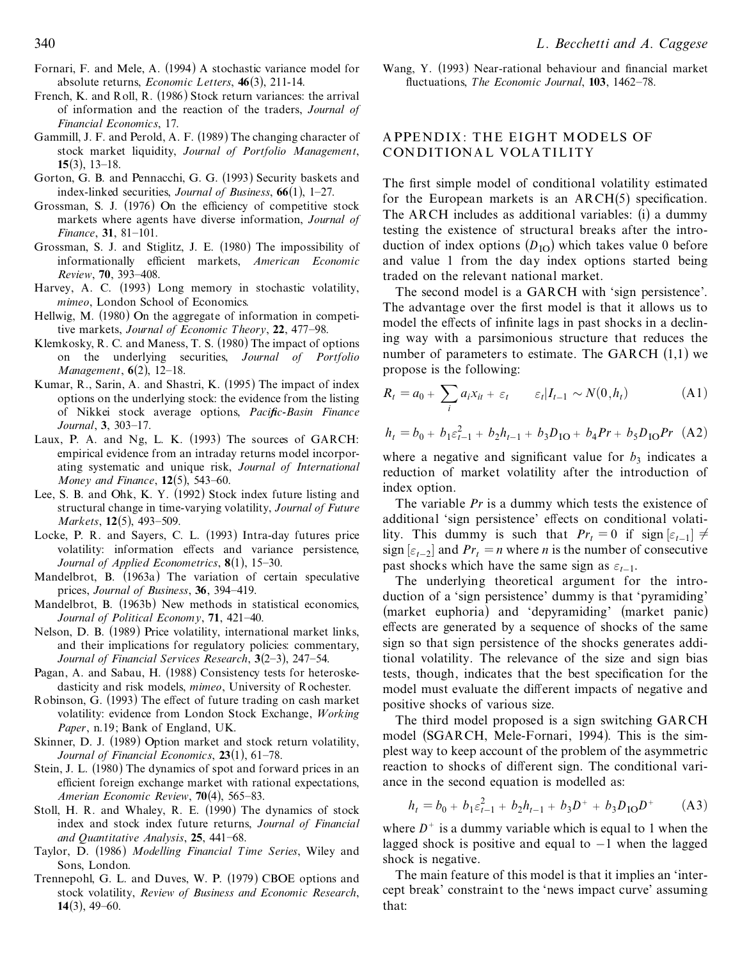- Fornari, F. and Mele, A. (1994) A stochastic variance model for absolute returns, *Economic L etters*, **46**(3), 211-14.
- French, K. and Roll, R. (1986) Stock return variances: the arrival of information and the reaction of the traders, *Journal of Financial Economics*, 17.
- Gammill, J. F. and Perold, A. F. (1989) The changing character of stock market liquidity, *Journal of Portfolio Management*, 15 $(3)$ , 13–18.
- Gorton, G. B. and Pennacchi, G. G. (1993) Security baskets and index-linked securities, *Journal of Business*,  $66(1)$ , 1–27.
- Grossman, S. J. (1976) On the efficiency of competitive stock markets where agents have diverse information, *Journal of Finance*, 31, 81-101.
- Grossman, S. J. and Stiglitz, J. E. (1980) The impossibility of informationally efficient markets, *American Economic Review*, **70**, 393-408.
- Harvey, A. C. (1993) Long memory in stochastic volatility, *mimeo*, London School of Economics.
- Hellwig, M. (1980) On the aggregate of information in competitive markets, *Journal of Economic Theory*, 22, 477-98.
- Klemkosky, R. C. and Maness, T. S. (1980) The impact of options on the underlying securities, *Journal of Portfolio Management*, **6**(2), 12–18.
- Kumar, R., Sarin, A. and Shastri, K. (1995) The impact of index options on the underlying stock: the evidence from the listing of Nikkei stock average options, *Pacific-Basin Finance Journal*, 3, 303-17.
- Laux, P. A. and Ng, L. K. (1993) The sources of GARCH: empirical evidence from an intraday returns model incorpor ating systematic and unique risk, *Journal of International Money and Finance*, **12**(5), 543-60.
- Lee, S. B. and Ohk, K. Y. (1992) Stock index future listing and structural change in time-varying volatility, *Journal of Future Markets*, **12**(5), **493**–509.
- Locke, P. R. and Sayers, C. L. (1993) Intra-day futures price volatility: information effects and variance persistence, *Journal of Applied Econometrics*, **8**(1), 15–30.
- Mandelbrot, B. (1963a) The variation of certain speculative prices, *Journal of Business*, 36, 394-419.
- Mandelbrot, B. (1963b) New methods in statistical economics, *Journal of Political Economy*, 71, 421-40.
- Nelson, D. B. (1989) Price volatility, international market links, and their implications for regulatory policies: commentary, *Journal of Financial Services Research*, 3(2–3), 247–54.
- Pagan, A. and Sabau, H. (1988) Consistency tests for heteroske dasticity and risk models, *mimeo*, University of Rochester.
- Robinson, G. (1993) The effect of future trading on cash market volatility: evidence from London Stock Exchange, *W orking Paper*, n.19; Bank of England, UK.
- Skinner, D. J. (1989) Option market and stock return volatility, *Journal of Financial Economics*, 23(1), 61–78.
- Stein, J. L. (1980) The dynamics of spot and forward prices in an efficient foreign exchange market with rational expectations, *Amerian Economic Review, 70(4), 565-83.*
- Stoll, H. R. and Whaley, R. E. (1990) The dynamics of stock index and stock index future returns, *Journal of Financial and Quantitative Analysis*, 25, 441-68.
- Taylor, D. (1986) *Modelling Financial Time Series*, Wiley and Sons, London.
- Trennepohl, G. L. and Duves, W. P. (1979) CBOE options and stock volatility, *Review of Business and Economic Research*, **14**(3), 49–60.

Wang, Y. (1993) Near-rational behaviour and financial market fluctuations, *The Economic Journal*, 103, 1462-78.

## A PPENDIX : THE EIGHT MODELS OF CONDITIONA L VOLA TILITY

The first simple model of conditional volatility estimated for the European markets is an  $ARCH(5)$  specification. The ARCH includes as additional variables: (i) a dummy testing the existence of structural breaks after the intro duction of index options  $(D_{\text{IO}})$  which takes value 0 before and value 1 from the day index options started being traded on the relevant national market.

The second model is a GARCH with `sign persistence'. The advantage over the first model is that it allows us to model the effects of infinite lags in past shocks in a declining way with a parsimonious structure that reduces the number of parameters to estimate. The GARCH  $(1,1)$  we propose is the following:

$$
R_t = a_0 + \sum_i a_i x_{it} + \varepsilon_t \qquad \varepsilon_t |I_{t-1} \sim N(0, h_t)
$$
 (A1)

$$
h_t = b_0 + b_1 \varepsilon_{t-1}^2 + b_2 h_{t-1} + b_3 D_{\text{IO}} + b_4 Pr + b_5 D_{\text{IO}} Pr \text{ (A2)}
$$

where a negative and significant value for  $b_3$  indicates a reduction of market volatility after the introduction of index option.

The variable *Pr* is a dummy which tests the existence of additional 'sign persistence' effects on conditional volatility. This dummy is such that  $Pr_t = 0$  if  $\text{sign}[\varepsilon_{t-1}] \neq 0$ sign  $[\varepsilon_{t-2}]$  and  $Pr_t = n$  where *n* is the number of consecutive past shocks which have the same sign as  $\varepsilon_{t-1}$ .

The underlying theoretical argument for the intro duction of a 'sign persistence' dummy is that 'pyramiding' (market euphoria) and `depyramiding' (market panic) effects are generated by a sequence of shocks of the same sign so that sign persistence of the shocks generates additional volatility. The relevance of the size and sign bias tests, though, indicates that the best specification for the model must evaluate the different impacts of negative and positive shocks of various size.

The third model proposed is a sign switching GARCH model (SGARCH, Mele-Fornari, 1994). This is the sim plest way to keep account of the problem of the asymmetric reaction to shocks of different sign. The conditional variance in the second equation is modelled as:

$$
h_t = b_0 + b_1 \varepsilon_{t-1}^2 + b_2 h_{t-1} + b_3 D^+ + b_3 D_{\text{IO}} D^+ \qquad (A3)
$$

where  $D^+$  is a dummy variable which is equal to 1 when the lagged shock is positive and equal to  $-1$  when the lagged shock is negative.

The main feature of this model is that it implies an 'intercept break' constraint to the `news impact curve' assuming that: